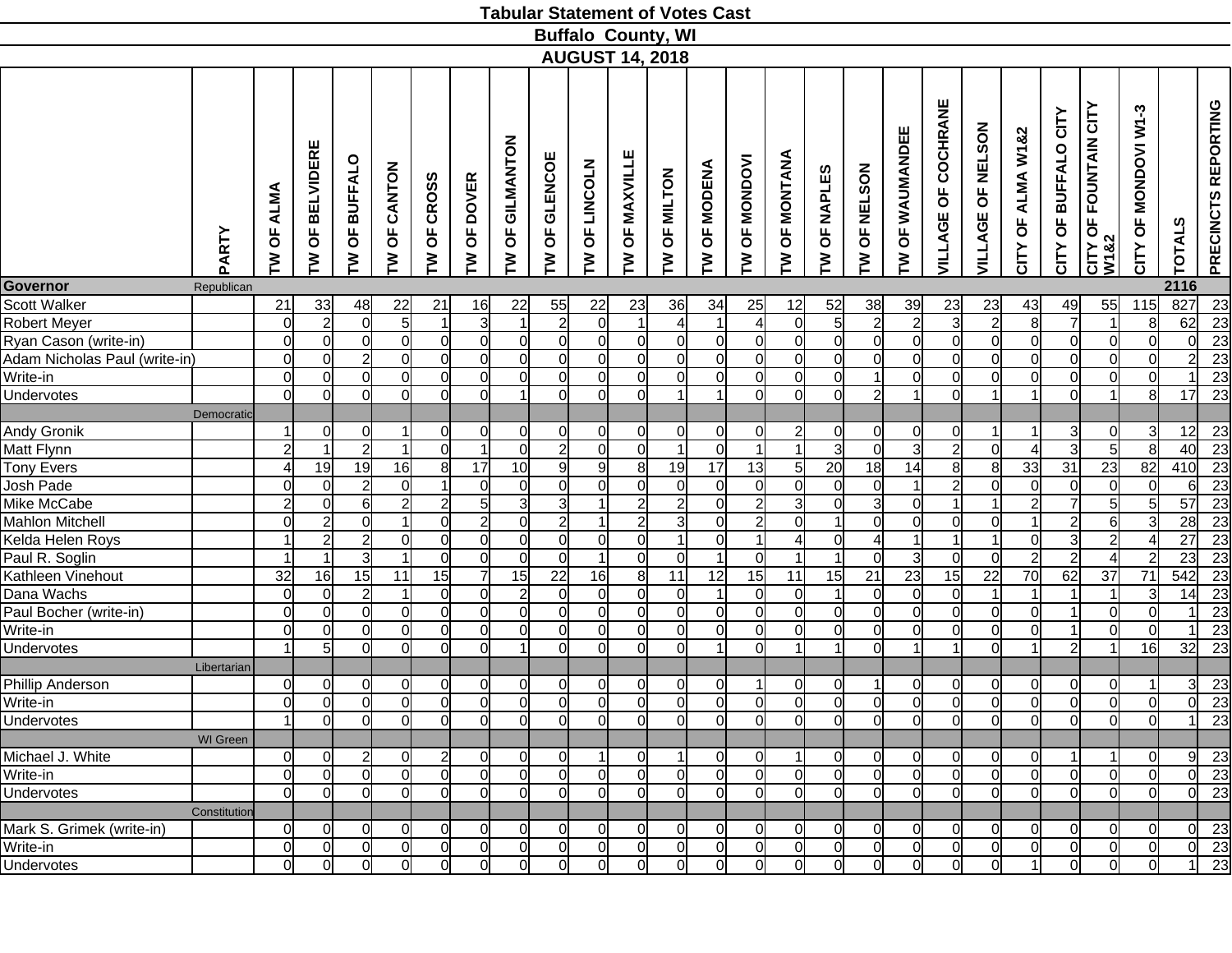|                                       |                 |                                  |                                  |                                  |                                |                        |                                  |                                  |                                |                                     | <b>Tabular Statement of Votes Cast</b> |                                         |                                      |                 |                                |                            |                                  |                                  |                                       |                                  |                                     |                                  |                                  |                           |                    |                     |
|---------------------------------------|-----------------|----------------------------------|----------------------------------|----------------------------------|--------------------------------|------------------------|----------------------------------|----------------------------------|--------------------------------|-------------------------------------|----------------------------------------|-----------------------------------------|--------------------------------------|-----------------|--------------------------------|----------------------------|----------------------------------|----------------------------------|---------------------------------------|----------------------------------|-------------------------------------|----------------------------------|----------------------------------|---------------------------|--------------------|---------------------|
|                                       |                 |                                  |                                  |                                  |                                |                        |                                  |                                  |                                |                                     | <b>Buffalo County, WI</b>              |                                         |                                      |                 |                                |                            |                                  |                                  |                                       |                                  |                                     |                                  |                                  |                           |                    |                     |
|                                       |                 |                                  |                                  |                                  |                                |                        |                                  |                                  |                                |                                     | <b>AUGUST 14, 2018</b>                 |                                         |                                      |                 |                                |                            |                                  |                                  |                                       |                                  |                                     |                                  |                                  |                           |                    |                     |
|                                       | PARTY           | ALMA<br>pP<br>≧                  | ELVIDERE<br>≃<br>ზ<br>ξ          | <b>BUFFALO</b><br>Ъ<br>ξ         | CANTON<br>$\overline{6}$<br>ξ  | <b>CROSS</b><br>p<br>ξ | OF DOVER<br>ξ                    | GILMANTON<br>$\overline{6}$<br>ξ | <b>GLENCOE</b><br>p<br>ξ       | LINCOLN<br>$\overline{\sigma}$<br>ξ | OF MAXVILLE<br>ξ                       | <b>MILTON</b><br>Ъ<br>ξ                 | <b>MODENA</b><br>$\overline{6}$<br>ξ | OF MONDOVI<br>ξ | OF MONTANA<br>ξ                | <b>OF NAPLES</b><br>≧      | OF NELSON<br>ξ                   | OF WAUMANDEE<br>≧                | COCHRANE<br>$\overline{6}$<br>VILLAGE | OF NELSON<br>VILLAGE             | ALMA W1&2<br>$\overline{6}$<br>CITY | OF BUFFALO CITY<br>CITY          | CITY OF FOUNTAIN CITY<br>W182    | MONDOVI W1-3<br>Ъ<br>CITY | <b>TOTALS</b>      | PRECINCTS REPORTING |
| Governor                              | Republican      |                                  |                                  |                                  |                                |                        |                                  |                                  |                                |                                     |                                        |                                         |                                      |                 |                                |                            |                                  |                                  |                                       |                                  |                                     |                                  |                                  |                           | 2116               |                     |
| Scott Walker                          |                 | 21                               | 33                               | 48                               | 22                             | 21                     | 16                               | 22                               | 55                             | 22                                  | 23                                     | 36                                      | 34                                   | 25              | 12                             | 52                         | 38                               | 39                               | 23                                    | 23                               | 43                                  | 49                               | 55                               | 115                       | 827                | 23                  |
| Robert Meyer<br>Ryan Cason (write-in) |                 | $\overline{0}$<br>$\overline{0}$ | $\overline{2}$                   | $\Omega$<br><sup>ol</sup>        | 5 <sup>1</sup><br><sub>0</sub> | $\Omega$               | $\overline{3}$<br>$\overline{0}$ | $\overline{1}$<br>$\overline{0}$ | $\overline{2}$<br>$\Omega$     | $\overline{0}$<br><sub>0</sub>      | $\Omega$                               | $\boldsymbol{\Delta}$<br>$\overline{0}$ | 1<br>$\overline{0}$                  | 4<br>$\Omega$   | <sup>0</sup><br><sup>o</sup>   | 5 <sub>5</sub><br>$\Omega$ | $\overline{2}$<br>$\overline{0}$ | $\overline{2}$<br>$\overline{0}$ | $\overline{3}$<br>$\Omega$            | $\overline{2}$<br>$\overline{0}$ | 8<br>$\Omega$                       | $\overline{7}$<br>$\overline{0}$ | $\blacktriangleleft$<br>$\Omega$ | 8<br>$\Omega$             | 62<br><sup>o</sup> | 23<br>23            |
| Adam Nicholas Paul (write-in)         |                 | $\overline{0}$                   | $\overline{0}$<br>$\overline{0}$ | $\overline{2}$                   | ΩI                             | $\Omega$               | $\overline{0}$                   | $\overline{0}$                   | $\Omega$                       | ΩI                                  | $\Omega$                               | $\overline{0}$                          | $\Omega$                             | ΩI              | 0l                             | $\Omega$                   | $\overline{0}$                   | Οl                               | $\Omega$                              | $\Omega$                         | 0l                                  | $\overline{0}$                   | $\Omega$                         | $\Omega$                  | $\mathcal{D}$      | 23                  |
| Write-in                              |                 | $\overline{0}$                   | $\Omega$                         | <sup>o</sup>                     | ΩI                             | $\Omega$               | $\mathsf{Q}$                     | $\overline{0}$                   | ΩI                             | <sub>0</sub>                        | $\Omega$                               | $\overline{O}$                          | $\Omega$                             | Ωl              | 0l                             | $\Omega$                   | $\vert$                          | Οl                               | $\Omega$                              | 0l                               | $\Omega$                            | $\overline{0}$                   | $\overline{0}$                   | $\Omega$                  |                    | 23                  |
| Undervotes                            |                 | $\overline{0}$                   | $\overline{0}$                   | ΩI                               | ΩI                             | $\Omega$               | $\mathsf{Q}$                     | 1                                | ΩI                             | <sub>0</sub>                        | $\Omega$                               | $\mathbf 1$                             |                                      | Ωl              | 0l                             | $\Omega$                   | $\overline{2}$                   |                                  | ΩI                                    |                                  | $\overline{1}$                      | $\Omega$                         | 1                                | 8 <sup>1</sup>            | 17                 | 23                  |
|                                       | Democratic      |                                  |                                  |                                  |                                |                        |                                  |                                  |                                |                                     |                                        |                                         |                                      |                 |                                |                            |                                  |                                  |                                       |                                  |                                     |                                  |                                  |                           |                    |                     |
| <b>Andy Gronik</b>                    |                 |                                  | $\Omega$                         | 0l                               | $\mathbf{1}$                   | $\Omega$               | $\Omega$                         | <sub>0</sub>                     | $\Omega$                       | 0l                                  | $\Omega$                               | $\Omega$                                | $\Omega$                             | ∩               | $\overline{c}$                 | $\Omega$                   | $\Omega$                         | $\Omega$                         | $\Omega$                              | 1                                | $\mathbf 1$                         | 3                                | $\Omega$                         | 3                         | 12                 | 23                  |
| Matt Flynn                            |                 | $\overline{2}$                   | $\overline{1}$                   | $\overline{2}$                   | $1\vert$                       | $\Omega$               | 1                                | $\overline{0}$                   | $\overline{2}$                 | $\overline{0}$                      | $\Omega$                               | $\overline{1}$                          | $\Omega$                             |                 | $\mathbf{1}$                   | $\mathbf{3}$               | $\overline{0}$                   | 3                                | $\overline{2}$                        | <sup>0</sup>                     | $\boldsymbol{4}$                    | 3                                | $5\overline{)}$                  | 8 <sup>1</sup>            | 40                 | $\overline{23}$     |
| <b>Tony Evers</b>                     |                 | 4                                | 19                               | 19                               | 16                             | 8                      | 17                               | 10                               | 91                             | 9                                   | 8                                      | 19                                      | 17                                   | 13              | $5 \mid$                       | 20                         | 18                               | 14                               | 8 <sup>1</sup>                        | 8                                | 33                                  | 31                               | 23                               | 82                        | 410                | $\overline{23}$     |
| Josh Pade                             |                 | $\Omega$                         | $\overline{0}$                   | $\overline{2}$                   | $\Omega$                       |                        | $\overline{0}$                   | $\overline{0}$                   | $\Omega$                       | <sub>0</sub>                        | 0                                      | $\overline{0}$                          | $\overline{0}$                       | $\Omega$        | <sub>0</sub>                   | $\Omega$                   | $\overline{0}$                   | 1                                | $\overline{2}$                        | $\overline{0}$                   | $\Omega$                            | 0                                | $\Omega$                         | $\Omega$                  | 61                 | $\overline{23}$     |
| Mike McCabe                           |                 | $\overline{2}$                   | $\overline{0}$                   | 6                                | $\overline{2}$                 | $\overline{2}$         | 5                                | $\overline{3}$                   | зI                             | $\vert$                             | $\overline{2}$                         | $\overline{2}$                          | $\Omega$                             | $\overline{2}$  | 3                              | $\Omega$                   | $\overline{3}$                   | Οl                               |                                       |                                  | $\overline{2}$                      | $\overline{7}$                   | 5                                | 5 <sup>1</sup>            | 57                 | $\overline{23}$     |
| <b>Mahlon Mitchell</b>                |                 | $\overline{0}$                   | $\overline{2}$                   | $\Omega$                         | 11                             | $\Omega$               | $\overline{2}$                   | $\overline{0}$                   | $\overline{2}$                 | $\mathbf{1}$                        | $\overline{2}$                         | $\overline{3}$                          | $\Omega$                             | $\overline{2}$  | <sup>o</sup>                   |                            | $\overline{0}$                   | Οl                               | $\Omega$                              | <sup>0</sup>                     | $\overline{1}$                      | $\overline{c}$                   | 6                                | 31                        | 28                 | $\overline{23}$     |
| Kelda Helen Roys                      |                 |                                  | $\overline{2}$                   | $\overline{2}$                   | $\overline{0}$                 | $\Omega$               | $\overline{0}$                   | $\overline{0}$                   | $\Omega$                       | $\overline{0}$                      | $\Omega$                               | 1                                       | $\overline{0}$                       |                 | 41                             | $\Omega$                   | $\overline{4}$                   |                                  |                                       |                                  | $\Omega$                            | 3                                | $\overline{2}$                   |                           | 27                 | 23                  |
| Paul R. Soglin                        |                 |                                  |                                  | $\overline{\mathsf{3}}$          | $\mathbf{1}$                   | $\Omega$               | $\mathsf{Q}$                     | $\overline{0}$                   | ΩI                             | $\mathbf{1}$                        | $\Omega$                               | $\overline{0}$                          |                                      | Ωl              |                                |                            | $\Omega$                         | $\overline{3}$                   | $\Omega$                              | 0l                               | $\overline{2}$                      | $\overline{c}$                   | 4                                |                           | 23                 | 23                  |
| Kathleen Vinehout                     |                 | $\overline{32}$                  | 16                               | 15                               | 11                             | 15                     | 7                                | 15                               | 22                             | 16                                  | 8                                      | 11                                      | 12                                   | 15              | 11                             | 15                         | 21                               | 23                               | 15                                    | $\overline{22}$                  | 70                                  | 62                               | $\overline{37}$                  | 71                        | 542                | $\overline{23}$     |
| Dana Wachs                            |                 | $\overline{0}$                   | $\overline{0}$                   | $\overline{2}$                   | $\mathbf{1}$                   | $\Omega$               | $\overline{0}$                   | $\overline{2}$                   | $\Omega$                       | $\overline{0}$                      | $\Omega$                               | <sub>0</sub>                            |                                      | $\Omega$        | <sup>0</sup>                   |                            | 0                                | $\mathbf 0$                      | $\Omega$                              |                                  |                                     | 1                                |                                  | 3                         | 14                 | $\overline{23}$     |
| Paul Bocher (write-in)                |                 | $\overline{0}$                   | $\overline{0}$                   | $\Omega$                         | $\overline{0}$                 | $\Omega$               | $\overline{0}$                   | 0                                | $\Omega$                       | $\overline{0}$                      | $\Omega$                               | $\overline{0}$                          | $\overline{0}$                       | $\Omega$        | <sup>0</sup>                   | $\Omega$                   | $\overline{0}$                   | 0                                | $\Omega$                              | 0l                               | $\Omega$                            | $\mathbf{1}$                     | $\Omega$                         | $\Omega$                  |                    | 23                  |
| Write-in                              |                 | $\overline{0}$                   | $\overline{0}$                   | <sup>ol</sup>                    | $\Omega$                       | $\Omega$               | $\overline{0}$                   | $\overline{0}$                   | $\Omega$                       | $\overline{0}$                      | $\Omega$                               | $\overline{0}$                          | $\overline{0}$                       | $\Omega$        | <sup>o</sup>                   | $\overline{0}$             | $\overline{0}$                   | 0l                               | $\Omega$                              | <sup>0</sup>                     | $\overline{0}$                      | 1                                | $\overline{0}$                   | $\Omega$                  |                    | 23                  |
| Undervotes                            |                 |                                  | $5\overline{)}$                  | ΩI                               | ΩI                             | $\Omega$               | <sub>0</sub>                     |                                  | $\Omega$                       | ΩI                                  | $\Omega$                               | $\overline{O}$                          |                                      | Ωl              |                                | $\overline{ }$             | $\Omega$                         |                                  |                                       | $\Omega$                         | $\vert$                             | $\overline{2}$                   |                                  | 16                        | 32                 | $\overline{23}$     |
|                                       | Libertarian     |                                  |                                  |                                  |                                |                        |                                  |                                  |                                |                                     |                                        |                                         |                                      |                 |                                |                            |                                  |                                  |                                       |                                  |                                     |                                  |                                  |                           |                    |                     |
| Phillip Anderson<br>Write-in          |                 | $\overline{0}$<br>$\overline{0}$ | $\overline{0}$<br>$\overline{0}$ | $\overline{0}$<br>$\overline{0}$ | $\overline{0}$<br>ΩI           | 0<br>ി                 | $\overline{0}$<br>$\overline{0}$ | $\overline{0}$<br>$\overline{0}$ | <sub>0</sub><br>$\overline{0}$ | 0 <br><sub>0</sub>                  | 0<br>$\Omega$                          | $\overline{0}$<br>$\overline{0}$        | $\overline{0}$<br>$\overline{0}$     | ΩI              | <sup>o</sup><br>$\overline{O}$ | $\Omega$<br>ി              | $\vert$ 1<br><sub>0</sub>        | 0l<br>$\overline{0}$             | <sup>0</sup><br>$\overline{0}$        | 0 <br><sub>0</sub>               | $\Omega$<br>ി                       | $\overline{0}$<br>$\overline{0}$ | 0<br>പ                           | nΙ                        | $3 \mid$<br>ΩL     | $\frac{23}{23}$     |
| Undervotes                            |                 |                                  | $\Omega$                         | $\Omega$                         | ΩI                             | $\Omega$               | <sup>o</sup>                     | <sub>0</sub>                     | $\Omega$                       | $\Omega$                            | 0                                      | $\Omega$                                | $\Omega$                             | $\Omega$        | 0l                             | $\Omega$                   | $\Omega$                         | $\Omega$                         | $\Omega$                              | $\Omega$                         | $\Omega$                            | 0                                | $\Omega$                         | $\Omega$                  |                    | 23                  |
|                                       | <b>WI</b> Green |                                  |                                  |                                  |                                |                        |                                  |                                  |                                |                                     |                                        |                                         |                                      |                 |                                |                            |                                  |                                  |                                       |                                  |                                     |                                  |                                  |                           |                    |                     |
| Michael J. White                      |                 | 0                                | 0                                | 2                                | 01                             | 2                      | $\Omega$                         | 0                                | 0                              |                                     | 0                                      |                                         | $\Omega$                             | U               |                                | 0                          | 0                                | 0                                |                                       | 0                                | 0                                   |                                  |                                  |                           | 9                  | 23                  |
| Write-in                              |                 | <sup>o</sup>                     | $\Omega$                         | 0l                               | 0l                             | 0                      | $\overline{O}$                   | $\overline{0}$                   | $\Omega$                       | $\overline{0}$                      | 0                                      | $\overline{0}$                          | $\Omega$                             | $\Omega$        | 0l                             | 0                          | $\Omega$                         | 0                                | $\Omega$                              | 0l                               | 0                                   | 0                                | 0                                | 0l                        | 0I                 | 23                  |
| <b>Undervotes</b>                     |                 | 0l                               | <sup>O</sup>                     | 0l                               | ΩI                             | 0                      | <sub>0</sub>                     | $\overline{0}$                   | ΩI                             | 0l                                  | 0                                      | $\overline{0}$                          | $\Omega$                             | ΩI              | 0l                             | $\Omega$                   | $\overline{0}$                   | Οl                               | $\Omega$                              | $\Omega$                         | $\Omega$                            | <sub>0</sub>                     | $\Omega$                         | ΩI                        | 0l                 | 23                  |
|                                       | Constitution    |                                  |                                  |                                  |                                |                        |                                  |                                  |                                |                                     |                                        |                                         |                                      |                 |                                |                            |                                  |                                  |                                       |                                  |                                     |                                  |                                  |                           |                    |                     |
| Mark S. Grimek (write-in)             |                 | 0l                               | 0                                | 0                                | 01                             | 0                      | 0                                | <sub>0</sub>                     | 0                              | 0                                   | 0                                      | 0                                       | 01                                   |                 | 01                             | 0                          | 0                                | 0                                |                                       | -OI                              | 0                                   | 0                                | 0                                |                           | $\overline{0}$     | 23                  |
| Write-in                              |                 | $\overline{0}$                   | $\Omega$                         | 01                               | 0l                             |                        | $\Omega$                         | $\overline{0}$                   | 0l                             | 0                                   | 0                                      | $\Omega$                                | $\overline{0}$                       | <sup>0</sup>    | 0I                             | 0                          | $\overline{0}$                   | 0                                |                                       | 0l                               | 0                                   | $\overline{0}$                   | 0                                |                           | ΟI                 | 23                  |
| <b>Undervotes</b>                     |                 | 0l                               | $\Omega$                         | ΩI                               | ΩI                             |                        | <sub>0</sub>                     | $\Omega$                         | ΩI                             | 0l                                  | $\Omega$                               | $\Omega$                                | $\Omega$                             | Ωl              | 0l                             | $\Omega$                   | $\Omega$                         | $\Omega$                         | ΩI                                    | 0l                               |                                     | $\Omega$                         | $\Omega$                         |                           |                    | 23                  |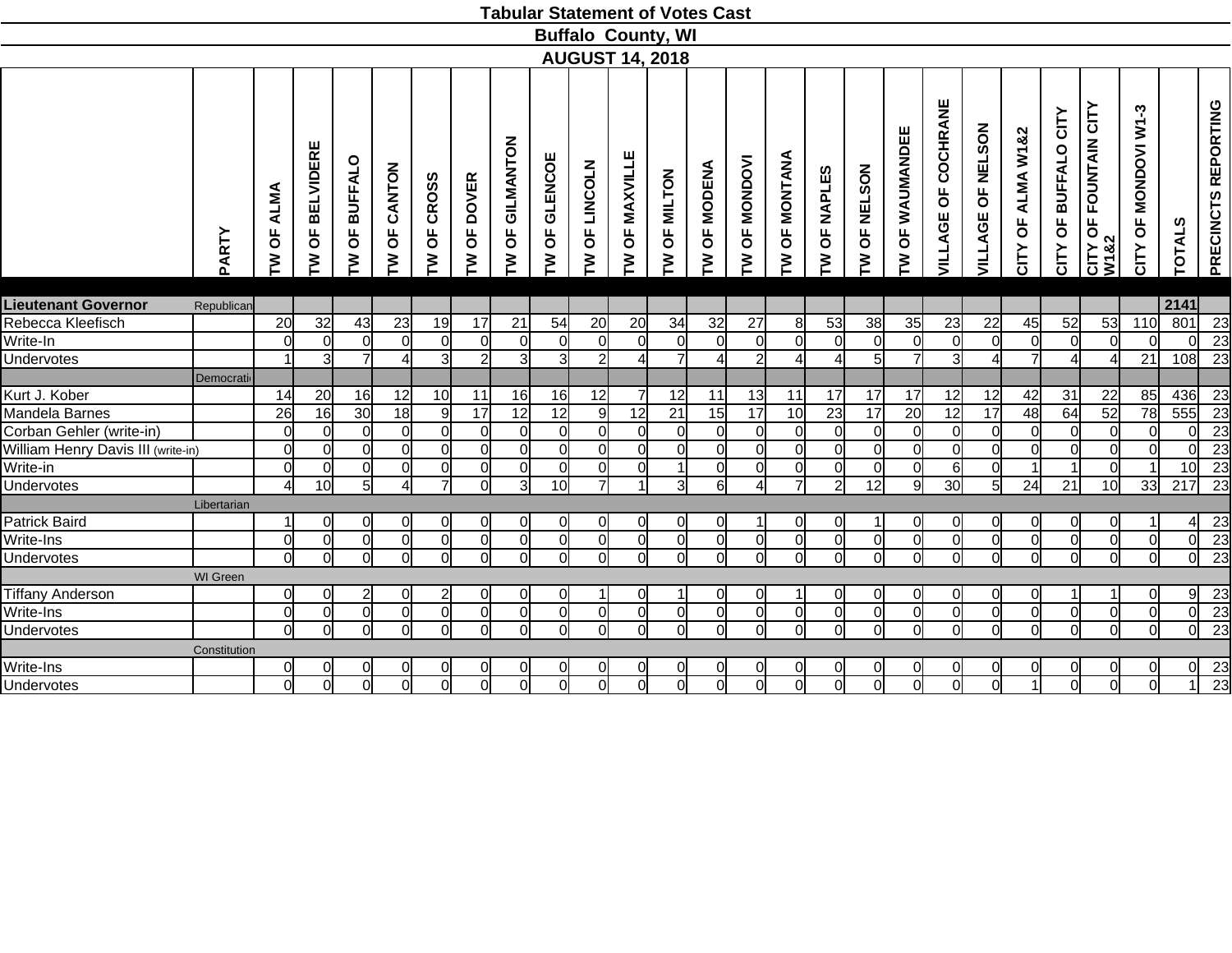|                                    |              |                             |                                              |                 |                               |               |                |                                  |                 | <b>Tabular Statement of Votes Cast</b> |                  |                |                       |                        |                        |                |                |                   |                     |                             |                   |                      |                               |                           |                 |                     |
|------------------------------------|--------------|-----------------------------|----------------------------------------------|-----------------|-------------------------------|---------------|----------------|----------------------------------|-----------------|----------------------------------------|------------------|----------------|-----------------------|------------------------|------------------------|----------------|----------------|-------------------|---------------------|-----------------------------|-------------------|----------------------|-------------------------------|---------------------------|-----------------|---------------------|
|                                    |              |                             |                                              |                 |                               |               |                |                                  |                 | <b>Buffalo County, WI</b>              |                  |                |                       |                        |                        |                |                |                   |                     |                             |                   |                      |                               |                           |                 |                     |
|                                    |              |                             |                                              |                 |                               |               |                |                                  |                 | <b>AUGUST 14, 2018</b>                 |                  |                |                       |                        |                        |                |                |                   |                     |                             |                   |                      |                               |                           |                 |                     |
|                                    |              |                             |                                              |                 |                               |               |                |                                  |                 |                                        |                  |                |                       |                        |                        |                |                |                   |                     |                             |                   |                      |                               |                           |                 |                     |
|                                    | PARTY        | ALMA<br>$\overline{6}$<br>ξ | <b>BELVIDERE</b><br>$\overline{\sigma}$<br>ξ | OF BUFFALO<br>ξ | CANTON<br>$\overline{0}$<br>Σ | OF CROSS<br>ξ | OF DOVER<br>ξ  | GILMANTON<br>$\overline{0}$<br>ξ | OF GLENCOE<br>Σ | OF LINCOLN<br>Σ                        | OF MAXVILLE<br>Σ | OF MILTON<br>ξ | <b>OF MODENA</b><br>ξ | <b>OF MONDOVI</b><br>ξ | <b>OF MONTANA</b><br>ξ | OF NAPLES<br>Σ | OF NELSON<br>ξ | OF WAUMANDEE<br>ξ | VILLAGE OF COCHRANE | <b>OF NELSON</b><br>VILLAGE | CITY OF ALMA W1&2 | CITY OF BUFFALO CITY | CITY OF FOUNTAIN CITY<br>W1&2 | $W1-3$<br>CITY OF MONDOVI | <b>TOTALS</b>   | PRECINCTS REPORTING |
| <b>Lieutenant Governor</b>         | Republican   |                             |                                              |                 |                               |               |                |                                  |                 |                                        |                  |                |                       |                        |                        |                |                |                   |                     |                             |                   |                      |                               |                           | 2141            |                     |
| Rebecca Kleefisch                  |              | 20                          | 32                                           | 43              | 23                            | 19            | 17             | 21                               | 54              | 20                                     | 20               | 34             | 32                    | 27                     | $8 \mid$               | 53             | 38             | 35                | 23                  | 22                          | 45                | 52                   | 53                            | 110                       | 801             | $\overline{23}$     |
| Write-In                           |              | $\overline{0}$              | $\overline{0}$                               | $\overline{0}$  | $\Omega$                      | $\Omega$      | $\overline{0}$ | <sup>o</sup>                     | $\overline{0}$  | $\Omega$                               | $\Omega$         | $\overline{0}$ | $\overline{0}$        | $\overline{0}$         | $\Omega$               | $\Omega$       | $\overline{0}$ | $\overline{0}$    | $\overline{0}$      | $\mathbf 0$                 | $\Omega$          | $\overline{0}$       | $\overline{0}$                | Οl                        | $\Omega$        | 23                  |
| Undervotes                         |              |                             | $\overline{3}$                               | $\overline{7}$  |                               | 3             | $\overline{2}$ | $\overline{3}$                   | $\overline{3}$  | $\overline{2}$                         |                  | $\overline{7}$ | $\vert$               | $\overline{2}$         |                        |                | $\overline{5}$ | $\overline{7}$    | $\overline{3}$      |                             |                   | $\overline{4}$       | 4                             | 21                        | 108             | 23                  |
|                                    | Democrati    |                             |                                              |                 |                               |               |                |                                  |                 |                                        |                  |                |                       |                        |                        |                |                |                   |                     |                             |                   |                      |                               |                           |                 |                     |
| Kurt J. Kober                      |              | 14                          | 20                                           | 16              | 12                            | 10            | 11             | 16                               | 16              | 12                                     |                  | 12             | 11                    | 13                     | 11                     | 17             | 17             | 17                | 12                  | 12                          | 42                | 31                   | 22                            | 85                        | 436             | 23                  |
| Mandela Barnes                     |              | 26                          | 16                                           | 30 <sub>l</sub> | 18                            | -91           | 17             | $\overline{12}$                  | 12              | 9                                      | 12               | 21             | 15                    | 17                     | 10                     | 23             | 17             | $\overline{20}$   | 12                  | $\overline{17}$             | 48                | 64                   | 52                            | 78                        | 555             | $\overline{23}$     |
| Corban Gehler (write-in)           |              | $\overline{0}$              | 0l                                           | $\overline{0}$  | $\Omega$                      | $\Omega$      | $\overline{0}$ | 0l                               | $\overline{0}$  | $\Omega$                               | $\Omega$         | $\overline{0}$ | $\overline{0}$        | $\overline{0}$         | $\Omega$               | $\Omega$       | $\overline{0}$ | $\Omega$          | $\overline{0}$      | $\Omega$                    | $\Omega$          | $\overline{0}$       | $\Omega$                      | <sup>ol</sup>             | ΩI              | 23                  |
| William Henry Davis III (write-in) |              | $\overline{0}$              | $\overline{0}$                               | $\overline{0}$  | $\Omega$                      | $\Omega$      | $\overline{0}$ | <sup>o</sup>                     | $\overline{0}$  | $\Omega$                               | $\Omega$         | $\mathbf 0$    | $\overline{0}$        | $\overline{0}$         | $\Omega$               | $\Omega$       | $\mathbf 0$    | $\overline{0}$    | $\overline{0}$      | $\Omega$                    | $\Omega$          | $\overline{0}$       | $\overline{0}$                | ΩI                        |                 | 23                  |
| Write-in                           |              | $\overline{0}$              | $\overline{0}$                               | $\overline{0}$  | $\Omega$                      | $\Omega$      | $\mathbf 0$    | $\overline{0}$                   | $\overline{0}$  | $\Omega$                               | $\Omega$         | 1              | $\overline{0}$        | $\overline{0}$         | $\Omega$               | $\Omega$       | $\mathbf 0$    | $\overline{0}$    | 6                   | $\mathbf 0$                 |                   |                      | $\overline{0}$                | 1                         | 10 <sup>1</sup> | 23                  |
| Undervotes                         |              | $\overline{4}$              | 10                                           | 5 <sup>1</sup>  | $\Lambda$                     |               | $\Omega$       | $\overline{3}$                   | 10              | $\overline{7}$                         |                  | دی             | 6                     | 41                     | $\overline{7}$         | $\overline{2}$ | 12             | $\overline{9}$    | 30                  | 5                           | 24                | 21                   | 10                            | 33                        | 217             | $\overline{23}$     |
|                                    | Libertarian  |                             |                                              |                 |                               |               |                |                                  |                 |                                        |                  |                |                       |                        |                        |                |                |                   |                     |                             |                   |                      |                               |                           |                 |                     |
| Patrick Baird                      |              | $\overline{1}$              | $\Omega$                                     | 0               | 0l                            | 0l            | $\overline{0}$ | $\Omega$                         | $\overline{0}$  | $\Omega$                               | 0l               | $\overline{0}$ | $\overline{0}$        | $\mathbf{1}$           | <sup>0</sup>           | 0l             | 1              | 0l                | <sub>0</sub>        | $\Omega$                    | 0l                | $\overline{0}$       | $\overline{0}$                |                           |                 | 23                  |
| Write-Ins                          |              | $\overline{0}$              | $\overline{0}$                               | $\overline{0}$  | <sup>0</sup>                  | $\Omega$      | $\overline{0}$ | <sup>o</sup>                     | $\overline{0}$  | $\Omega$                               | $\Omega$         | $\overline{0}$ | $\overline{0}$        | $\overline{0}$         | $\Omega$               | $\Omega$       | $\overline{0}$ | $\overline{0}$    | $\overline{0}$      | $\Omega$                    | $\Omega$          | $\overline{0}$       | $\overline{0}$                | $\overline{0}$            | $\Omega$        | 23                  |
| Undervotes                         |              | $\Omega$                    | $\overline{0}$                               | $\overline{0}$  | $\Omega$                      | ΩI            | $\Omega$       | Ωl                               | $\Omega$        | ΩI                                     | $\Omega$         | $\Omega$       | $\Omega$              | $\Omega$               | ΩI                     | $\Omega$       | $\Omega$       | $\Omega$          | $\Omega$            | $\Omega$                    | $\Omega$          | $\overline{0}$       | $\Omega$                      | <sub>0</sub>              | $\Omega$        | $\overline{23}$     |
|                                    | WI Green     |                             |                                              |                 |                               |               |                |                                  |                 |                                        |                  |                |                       |                        |                        |                |                |                   |                     |                             |                   |                      |                               |                           |                 |                     |
| <b>Tiffany Anderson</b>            |              | $\overline{0}$              | $\Omega$                                     | $\mathbf{2}$    | $\Omega$                      |               | 0              | 0                                | $\overline{0}$  |                                        | 0l               |                | $\overline{0}$        | $\overline{0}$         |                        | $\Omega$       | 0              | 0l                | <sub>0</sub>        | 0                           | 0l                |                      |                               | 0l                        | 91              | 23                  |
| Write-Ins                          |              | $\overline{0}$              | $\overline{0}$                               | <sub>0</sub>    | $\Omega$                      | $\Omega$      | $\overline{0}$ | $\overline{0}$                   | <sub>0</sub>    | $\Omega$                               | 0l               | $\overline{0}$ | $\overline{0}$        | $\overline{0}$         | $\Omega$               | 0l             | $\overline{0}$ | $\overline{0}$    | $\overline{0}$      | $\overline{0}$              | 0l                | $\overline{0}$       | $\overline{0}$                | $\overline{0}$            | $\Omega$        | $\overline{23}$     |
| Undervotes                         |              | <sup>ol</sup>               | 0l                                           | 0l              | $\Omega$                      | 0l            | $\Omega$       | <sup>ol</sup>                    | οl              | $\Omega$                               | ΩI               | <sup>ol</sup>  | $\overline{0}$        | $\overline{0}$         | $\Omega$               | ΩI             | $\Omega$       | $\overline{0}$    | $\overline{0}$      | $\Omega$                    | ΩI                | $\overline{0}$       | $\Omega$                      | $\overline{O}$            | $\Omega$        | $\overline{23}$     |
|                                    | Constitution |                             |                                              |                 |                               |               |                |                                  |                 |                                        |                  |                |                       |                        |                        |                |                |                   |                     |                             |                   |                      |                               |                           |                 |                     |
| Write-Ins                          |              | $\overline{0}$              | 0                                            | 0l              | 0                             | 01            | 0              | 0l                               | 0               |                                        | 0l               | 0              | $\Omega$              | 0                      |                        | 0              | 0              | $\Omega$          | 0                   | 0                           |                   | $\overline{0}$       | $\overline{0}$                | 01                        | 0l              | 23                  |
| Undervotes                         |              | $\overline{0}$              | $\overline{0}$                               | <sub>0</sub>    | $\Omega$                      | <sub>0</sub>  | $\overline{0}$ | $\overline{0}$                   | 0               | $\Omega$                               | 0l               | $\overline{0}$ | $\overline{0}$        | O                      | $\Omega$               | Οl             | $\overline{0}$ | $\overline{0}$    | O                   | $\Omega$                    |                   | $\overline{0}$       | $\overline{0}$                | $\overline{0}$            |                 | $\overline{23}$     |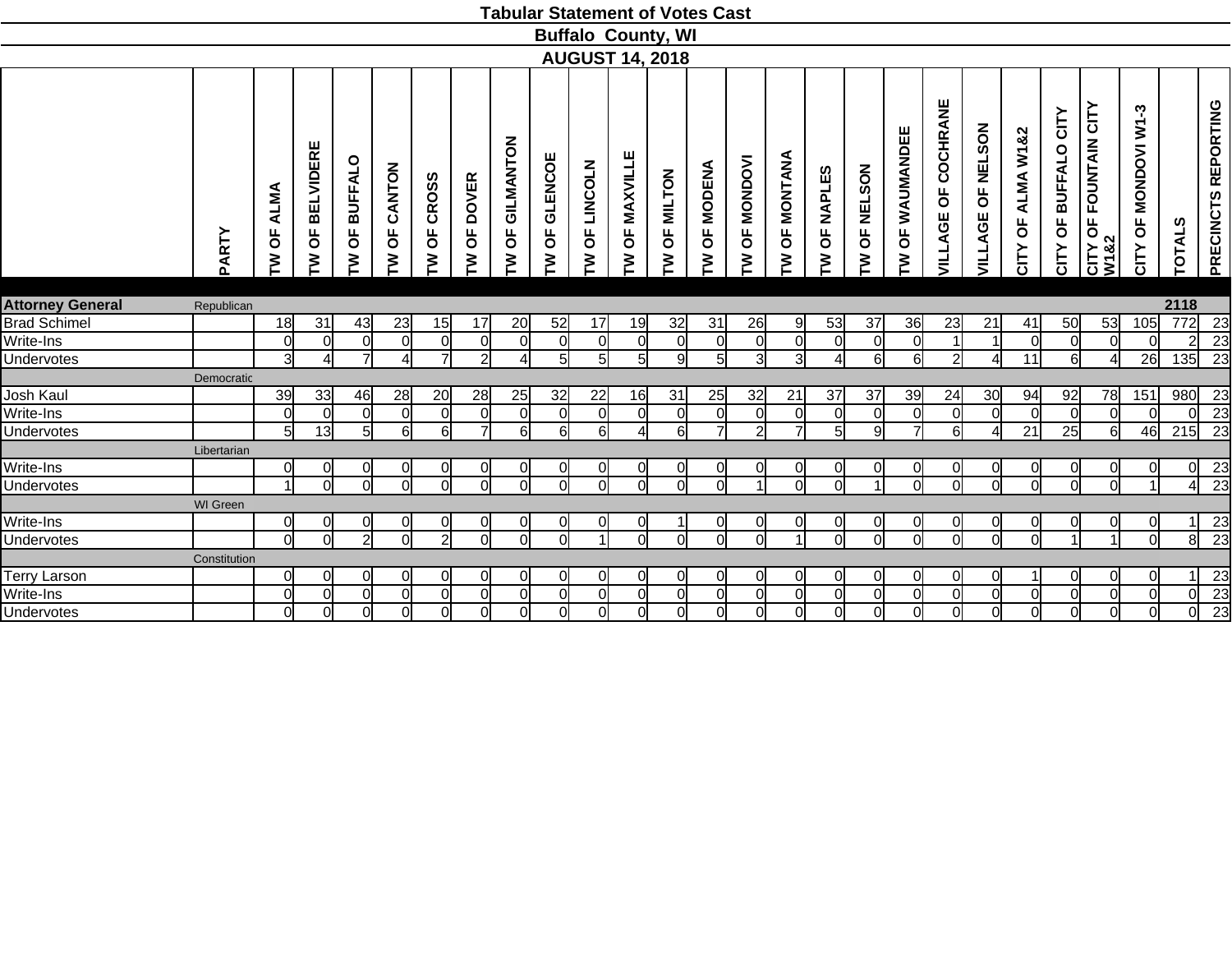|                         |                 |                                  |                                         |                            |                                    |                                     |                                  |                                  |                                  |                          | <b>Tabular Statement of Votes Cast</b> |                      |                                      |                        |                                         |                |                     |                                  |                          |                                            |                      |                                                        |                                    |                                                              |               |                       |
|-------------------------|-----------------|----------------------------------|-----------------------------------------|----------------------------|------------------------------------|-------------------------------------|----------------------------------|----------------------------------|----------------------------------|--------------------------|----------------------------------------|----------------------|--------------------------------------|------------------------|-----------------------------------------|----------------|---------------------|----------------------------------|--------------------------|--------------------------------------------|----------------------|--------------------------------------------------------|------------------------------------|--------------------------------------------------------------|---------------|-----------------------|
|                         |                 |                                  |                                         |                            |                                    |                                     |                                  |                                  |                                  |                          | <b>Buffalo County, WI</b>              |                      |                                      |                        |                                         |                |                     |                                  |                          |                                            |                      |                                                        |                                    |                                                              |               |                       |
|                         |                 |                                  |                                         |                            |                                    |                                     |                                  |                                  |                                  |                          | <b>AUGUST 14, 2018</b>                 |                      |                                      |                        |                                         |                |                     |                                  |                          |                                            |                      |                                                        |                                    |                                                              |               |                       |
|                         | PARTY           | <b>OF ALMA</b><br>≧              | <b>BELVIDERE</b><br>$\overline{5}$<br>ξ | <b>BUFFALO</b><br>Ъ<br>ξ   | CANTON<br>Ъ<br>₹                   | <b>CROSS</b><br>$\overline{0}$<br>ξ | OF DOVER<br>ξ                    | GILMANTON<br>$\overline{5}$<br>ξ | <b>GLENCOE</b><br>Ъ<br>M         | <b>LINCOLN</b><br>Ъ<br>ξ | OF MAXVILLE<br>ξ                       | OF MILTON<br>ξ       | <b>MODENA</b><br>$\overline{5}$<br>ξ | <b>OF MONDOVI</b><br>ξ | MONTANA<br>$\overline{\mathsf{d}}$<br>ξ | OF NAPLES<br>ξ | OF NELSON<br>ξ      | WAUMANDEE<br>$\overline{6}$<br>ξ | COCHRANE<br>Ъ<br>VILLAGE | <b>NELSON</b><br>$\overline{6}$<br>VILLAGE | OF ALMA W1&2<br>CITY | <b>BUFFALO CITY</b><br>$\overline{\mathsf{b}}$<br>CITY | OF FOUNTAIN CITY<br>CITY C<br>W182 | ကု<br>$\overline{\mathsf{s}}$<br><b>MONDOVI</b><br>Ъ<br>CITY | <b>TOTALS</b> | PRECINCTS REPORTING   |
|                         |                 |                                  |                                         |                            |                                    |                                     |                                  |                                  |                                  |                          |                                        |                      |                                      |                        |                                         |                |                     |                                  |                          |                                            |                      |                                                        |                                    |                                                              |               |                       |
| <b>Attorney General</b> | Republican      |                                  |                                         |                            |                                    |                                     |                                  |                                  |                                  |                          |                                        |                      |                                      |                        |                                         |                |                     |                                  |                          |                                            |                      |                                                        |                                    |                                                              | 2118          |                       |
| <b>Brad Schimel</b>     |                 | 18                               | 31                                      | 43                         | 23                                 | 15                                  | 17                               | 20                               | 52                               | 17                       | 19                                     | 32<br>$\overline{0}$ | 31                                   | 26                     | -9                                      | 53             | 37                  | 36                               | 23                       | 21<br>$\vert$                              | 41                   | 50                                                     | 53                                 | 105                                                          | 772           | 23                    |
| Write-Ins               |                 | $\overline{0}$<br>3 <sup>l</sup> | $\Omega$<br>Δ                           | $\Omega$<br>$\overline{7}$ | $\Omega$<br>$\boldsymbol{\Lambda}$ | $\Omega$<br>$\overline{ }$          | $\overline{0}$<br>$\overline{2}$ | <sub>0</sub><br>4                | $\overline{0}$<br>5 <sup>1</sup> | <sub>0</sub><br>5        | $\Omega$                               | 9                    | $\Omega$                             | 0l<br>$\overline{3}$   | $\Omega$<br>3                           | $\Omega$       | $\overline{0}$<br>6 | $\Omega$                         | $\mathbf{z}$             |                                            | $\Omega$             | $\overline{0}$                                         | $\overline{0}$                     | ΩI<br>26                                                     |               | 23                    |
| Undervotes              |                 |                                  |                                         |                            |                                    |                                     |                                  |                                  |                                  |                          | 5 <sup>1</sup>                         |                      | 5 <sub>5</sub>                       |                        |                                         | Δ              |                     | $6 \mid$                         |                          |                                            | 11                   | 6                                                      | 4                                  |                                                              | 135           | $\overline{23}$       |
| Josh Kaul               | Democratic      | 39                               |                                         | 46                         |                                    |                                     |                                  |                                  | 32                               |                          | 16                                     | 31                   |                                      | 32                     |                                         | 37             | 37                  |                                  | 24                       |                                            |                      | 92                                                     |                                    | 151                                                          | 980           |                       |
| Write-Ins               |                 | $\overline{0}$                   | 33<br>$\overline{0}$                    | $\overline{0}$             | 28<br>$\mathbf 0$                  | 20<br><sup>0</sup>                  | 28<br>$\mathbf 0$                | 25<br>$\overline{0}$             | $\overline{0}$                   | 22<br>0                  | <sup>0</sup>                           | $\overline{0}$       | 25<br>$\overline{0}$                 | 0l                     | 21<br>$\overline{0}$                    | $\overline{0}$ | $\overline{0}$      | 39<br>$\overline{0}$             | <sup>o</sup>             | 30<br>$\overline{0}$                       | 94<br>$\overline{0}$ | $\overline{0}$                                         | 78<br>$\overline{0}$               | <sup>ol</sup>                                                |               | 23<br>$\overline{23}$ |
| Undervotes              |                 | $\overline{5}$                   | 13                                      | $\overline{5}$             | 6                                  | $6 \mid$                            | $\overline{7}$                   | 6                                | $\overline{6}$                   | 6                        |                                        | $\overline{6}$       | $\overline{7}$                       | $\overline{2}$         | ᅱ                                       | $5 \vert$      | 9                   | $\overline{7}$                   | $\overline{6}$           |                                            | 21                   | 25                                                     | $6\overline{6}$                    | 46                                                           | 215           | $\overline{23}$       |
|                         |                 |                                  |                                         |                            |                                    |                                     |                                  |                                  |                                  |                          |                                        |                      |                                      |                        |                                         |                |                     |                                  |                          |                                            |                      |                                                        |                                    |                                                              |               |                       |
| Write-Ins               | Libertarian     | $\overline{0}$                   | <sub>0</sub>                            | $\overline{0}$             |                                    | 0                                   | $\overline{0}$                   | <sub>0</sub>                     | $\overline{0}$                   |                          | 0                                      | 0                    | 0                                    | 0l                     |                                         | 0l             | $\Omega$            | 0                                | 0l                       |                                            | <sup>0</sup>         | $\overline{0}$                                         | $\overline{0}$                     | 0l                                                           | 01            | 23                    |
| <b>Undervotes</b>       |                 | $\overline{1}$                   | $\Omega$                                | ΩI                         | $\Omega$                           | $\Omega$                            | $\overline{0}$                   | $\Omega$                         | Ω                                | $\Omega$                 | $\Omega$                               | $\overline{0}$       | $\Omega$                             | $\overline{1}$         | $\Omega$                                |                |                     | $\overline{0}$                   | ΩI                       | $\Omega$                                   | $\Omega$             | $\overline{0}$                                         | $\overline{0}$                     | $\mathbf{1}$                                                 |               | $\overline{23}$       |
|                         | <b>WI</b> Green |                                  |                                         |                            |                                    |                                     |                                  |                                  |                                  |                          |                                        |                      |                                      |                        |                                         |                |                     |                                  |                          |                                            |                      |                                                        |                                    |                                                              |               |                       |
| Write-Ins               |                 | 0                                | $\overline{0}$                          | $\overline{0}$             | 0                                  | $\Omega$                            | $\overline{0}$                   | 0                                | $\overline{0}$                   | 0                        | $\overline{0}$                         | 1                    | $\overline{0}$                       | <sub>0</sub>           | $\overline{0}$                          | 0l             | $\overline{0}$      | $\overline{0}$                   | $\overline{0}$           | $\overline{0}$                             | <sup>0</sup>         | $\overline{0}$                                         | 0                                  | 0                                                            | 11            | 23                    |
| <b>Undervotes</b>       |                 | $\overline{0}$                   | $\Omega$                                | $\overline{2}$             | $\Omega$                           | $\mathcal{D}$                       | $\overline{0}$                   | Ω                                | n١                               |                          | $\Omega$                               | $\Omega$             | $\Omega$                             | ΩI                     |                                         | $\Omega$       | $\overline{0}$      | $\Omega$                         | ol                       | $\Omega$                                   | $\Omega$             | $\overline{A}$                                         |                                    | $\Omega$                                                     | 8l            | 23                    |
|                         | Constitution    |                                  |                                         |                            |                                    |                                     |                                  |                                  |                                  |                          |                                        |                      |                                      |                        |                                         |                |                     |                                  |                          |                                            |                      |                                                        |                                    |                                                              |               |                       |
| Terry Larson            |                 | 0                                | <sub>0</sub>                            | <sup>0</sup>               | 0                                  | 0                                   | $\overline{0}$                   | 0                                | <sup>0</sup>                     | 0                        | 0                                      | $\overline{0}$       | $\Omega$                             | Οl                     | 0                                       | 0              | $\overline{0}$      | $\Omega$                         | 0l                       | $\Omega$                                   |                      | $\overline{0}$                                         | $\overline{0}$                     | 0l                                                           |               | 23                    |
| Write-Ins               |                 | $\overline{0}$                   | $\overline{0}$                          | $\overline{0}$             | $\Omega$                           | $\Omega$                            | $\overline{0}$                   | $\overline{0}$                   | $\overline{0}$                   | $\mathbf 0$              | $\Omega$                               | $\overline{0}$       | $\overline{0}$                       | 0l                     | $\Omega$                                | $\Omega$       | $\overline{0}$      | $\overline{0}$                   | 0l                       | $\overline{0}$                             | $\Omega$             | $\overline{0}$                                         | $\overline{0}$                     | <sub>0</sub>                                                 |               | 23                    |
| Undervotes              |                 | $\overline{0}$                   | $\overline{0}$                          | <sub>0</sub>               | $\Omega$                           | $\Omega$                            | $\overline{0}$                   | $\overline{0}$                   | <sub>0</sub>                     | $\Omega$                 | $\Omega$                               | $\overline{0}$       | $\overline{0}$                       | 0l                     | $\Omega$                                | $\Omega$       | $\overline{0}$      | $\overline{0}$                   | $\overline{0}$           | $\Omega$                                   | $\overline{0}$       | $\overline{0}$                                         | $\overline{0}$                     | $\overline{\mathsf{d}}$                                      |               | $\overline{23}$       |
|                         |                 |                                  |                                         |                            |                                    |                                     |                                  |                                  |                                  |                          |                                        |                      |                                      |                        |                                         |                |                     |                                  |                          |                                            |                      |                                                        |                                    |                                                              |               |                       |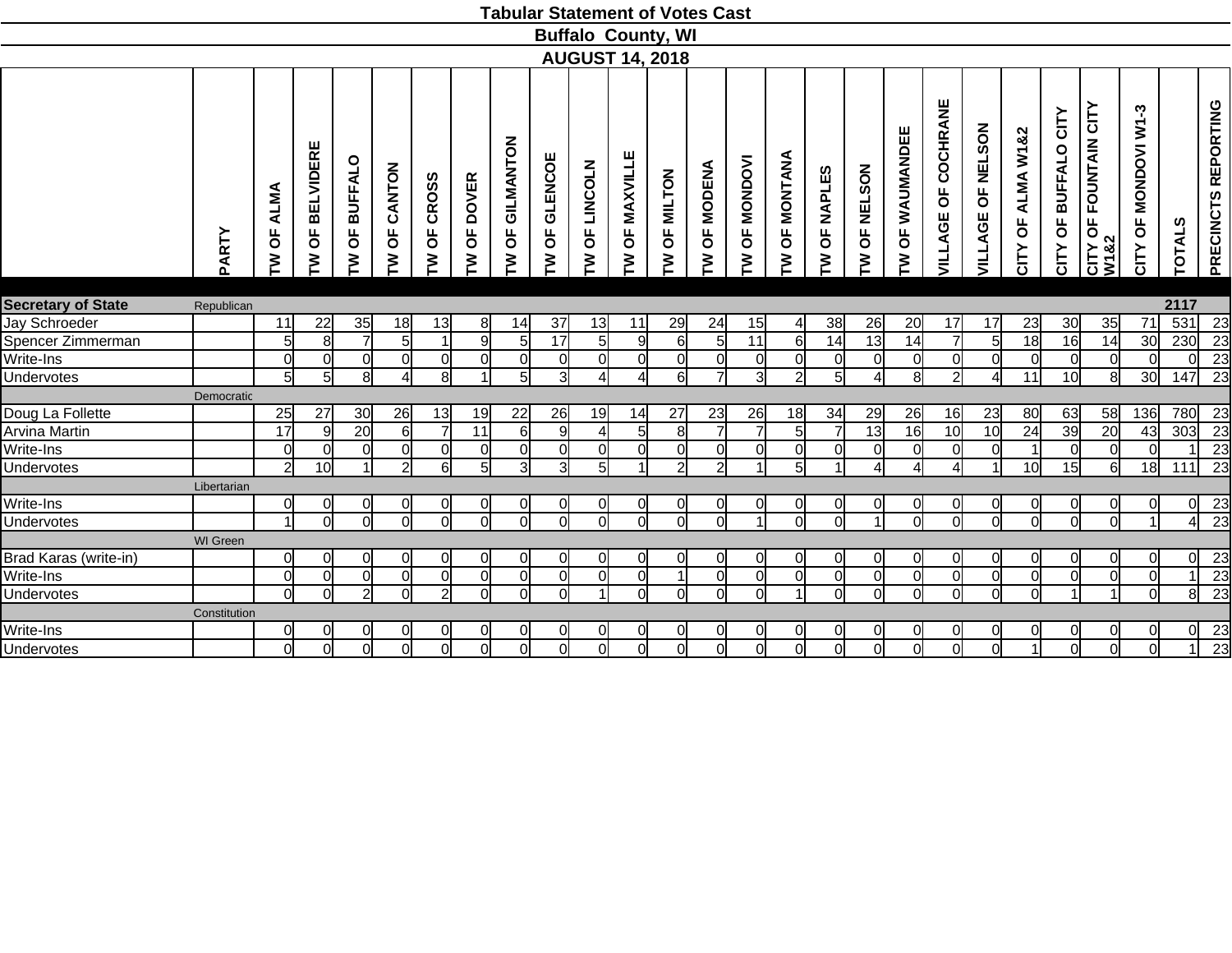|                           |              |                       |                             |                 |                        |                                     |                 |                      |                          |                      | <b>Tabular Statement of Votes Cast</b> |                |                                      |                 |                        |                |                 |                        |                     |                                |                      |                         |                                    |                              |               |                     |
|---------------------------|--------------|-----------------------|-----------------------------|-----------------|------------------------|-------------------------------------|-----------------|----------------------|--------------------------|----------------------|----------------------------------------|----------------|--------------------------------------|-----------------|------------------------|----------------|-----------------|------------------------|---------------------|--------------------------------|----------------------|-------------------------|------------------------------------|------------------------------|---------------|---------------------|
|                           |              |                       |                             |                 |                        |                                     |                 |                      |                          |                      | <b>Buffalo County, WI</b>              |                |                                      |                 |                        |                |                 |                        |                     |                                |                      |                         |                                    |                              |               |                     |
|                           |              |                       |                             |                 |                        |                                     |                 |                      |                          |                      | <b>AUGUST 14, 2018</b>                 |                |                                      |                 |                        |                |                 |                        |                     |                                |                      |                         |                                    |                              |               |                     |
|                           |              |                       |                             |                 |                        |                                     |                 |                      |                          |                      |                                        |                |                                      |                 |                        |                |                 |                        |                     | <b>NELSON</b>                  |                      |                         |                                    | ကု                           |               |                     |
|                           | PARTY        | <b>ALMA</b><br>Ъ<br>ξ | <b>BELVIDERE</b><br>pp<br>ξ | OF BUFFALO<br>ξ | CANTON<br>Ъ<br>ξ       | <b>CROSS</b><br>$\overline{0}$<br>ξ | OF DOVER<br>ξ   | GILMANTON<br>pp<br>ξ | <b>GLENCOE</b><br>Ъ<br>ξ | LINCOLN<br>Ъ<br>ξ    | OF MAXVILLE<br>ξ                       | OF MILTON<br>ξ | <b>MODENA</b><br>$\overline{5}$<br>ξ | OF MONDOVI<br>ξ | <b>OF MONTANA</b><br>ξ | OF NAPLES<br>ξ | OF NELSON<br>ξ  | OF WAUMANDEE<br>ξ      | VILLAGE OF COCHRANE | $\overline{\sigma}$<br>VILLAGE | OF ALMA W1&2<br>CITY | OF BUFFALO CITY<br>CITY | OF FOUNTAIN CITY<br>CITY C<br>W1&2 | <b>OF MONDOVI W1</b><br>CITY | <b>TOTALS</b> | PRECINCTS REPORTING |
| <b>Secretary of State</b> | Republican   |                       |                             |                 |                        |                                     |                 |                      |                          |                      |                                        |                |                                      |                 |                        |                |                 |                        |                     |                                |                      |                         |                                    |                              | 2117          |                     |
| Jay Schroeder             |              | 11                    | 22                          | 35              | 18                     | 13                                  | 8               | 14                   | 37                       | 13                   | 11                                     | 29             | 24                                   | 15              | $\overline{4}$         | 38             | 26              | 20                     | 17                  | 17                             | 23                   | 30                      | 35                                 | 71                           | 531           | 23                  |
| Spencer Zimmerman         |              | 5                     | 8                           | $\overline{7}$  | 5                      |                                     | 9               | 5                    | 17                       | 5 <sub>5</sub>       | 9                                      | 6              | 5                                    | 11              | $6 \mid$               | 14             | 13              | 14                     | 7                   | $5\overline{)}$                | 18                   | 16                      | 14                                 | 30                           | 230           | 23                  |
| Write-Ins                 |              | $\overline{0}$        | $\overline{0}$              | $\overline{0}$  | $\overline{0}$         | $\Omega$                            | $\overline{0}$  | $\overline{0}$       | $\overline{0}$           | $\overline{0}$       | $\Omega$                               | $\overline{0}$ | $\overline{0}$                       | $\overline{0}$  | $\overline{0}$         | $\Omega$       | $\overline{0}$  | $\overline{0}$         | $\mathsf{d}$        | $\Omega$                       | $\Omega$             | $\overline{0}$          | $\overline{0}$                     | <sup>ol</sup>                |               | $\overline{23}$     |
| <b>Undervotes</b>         |              | $\overline{5}$        | 5 <sub>l</sub>              | 8 <sup>1</sup>  | $\boldsymbol{\Lambda}$ | 8 <sup>1</sup>                      | $\overline{1}$  | 5 <sup>1</sup>       | $\overline{3}$           | 4                    |                                        | $\overline{6}$ | $\overline{7}$                       | $\mathsf{a}$    | $\overline{2}$         | 5 <sup>5</sup> | $\overline{4}$  | 8                      | $\overline{2}$      | $\overline{4}$                 | 11                   | 10                      | 8                                  | 30 <sup>l</sup>              | 147           | $\overline{23}$     |
|                           | Democratic   |                       |                             |                 |                        |                                     |                 |                      |                          |                      |                                        |                |                                      |                 |                        |                |                 |                        |                     |                                |                      |                         |                                    |                              |               |                     |
| Doug La Follette          |              | 25                    | 27                          | 30 <sub>l</sub> | 26                     | 13                                  | 19              | 22                   | 26                       | 19                   | 14                                     | 27             | 23                                   | 26              | 18                     | 34             | 29              | 26                     | 16                  | 23                             | 80                   | 63                      | 58                                 | 136                          | 780           | 23                  |
| Arvina Martin             |              | 17                    | $\overline{9}$              | 20              | <sup>6</sup>           | $\overline{7}$                      | $\overline{11}$ | $6 \mid$             | $\overline{9}$           | 4                    | 5 <sub>l</sub>                         | 8              | $\overline{7}$                       | 7               | 5 <sub>5</sub>         | $\overline{7}$ | $\overline{13}$ | $\overline{16}$        | 10                  | 10                             | 24                   | 39                      | 20                                 | 43                           | 303           | 23                  |
| Write-Ins                 |              | $\overline{0}$        | $\overline{0}$              | $\Omega$        | $\Omega$               | $\Omega$                            | $\mathbf 0$     | $\overline{0}$       | $\overline{0}$           | $\Omega$             | $\Omega$                               | $\overline{0}$ | $\Omega$                             | Οl              | $\Omega$               | $\Omega$       | $\overline{0}$  | 0                      | 0l                  | $\Omega$                       |                      | $\overline{0}$          | $\overline{0}$                     | ΩI                           |               | 23                  |
| Undervotes                |              | $\overline{2}$        | 10 <sup>1</sup>             | $\mathbf{1}$    | $\mathcal{D}$          | $6 \mid$                            | $\overline{5}$  | $\overline{3}$       | $\overline{3}$           | 51                   |                                        | $\overline{2}$ | $\overline{2}$                       | 11              | $5 \times$             |                | $\overline{4}$  | $\boldsymbol{\Lambda}$ | ΔΙ                  | 1                              | 10                   | 15                      | 6                                  | 18                           | 111           | 23                  |
|                           | Libertarian  |                       |                             |                 |                        |                                     |                 |                      |                          |                      |                                        |                |                                      |                 |                        |                |                 |                        |                     |                                |                      |                         |                                    |                              |               |                     |
| Write-Ins                 |              | $\overline{0}$        | 0l                          | 0l              | 0                      | 0                                   | 0               | 0l                   | <sup>0</sup>             | 0                    | 0                                      | <sub>0</sub>   | 0l                                   | 0l              | 0                      | 0              | $\Omega$        | 0l                     | 0l                  | 0                              | 0                    | $\Omega$                | 0l                                 | 0l                           | 0l            | 23                  |
| <b>Undervotes</b>         |              | $\overline{1}$        | $\Omega$                    | $\Omega$        | $\Omega$               | $\Omega$                            | $\overline{0}$  | $\Omega$             | ΩI                       | $\Omega$             | $\Omega$                               | $\overline{0}$ | $\Omega$                             | 11              | $\Omega$               | $\Omega$       | $\overline{1}$  | $\Omega$               | ΩI                  | $\Omega$                       | $\Omega$             | $\overline{0}$          | $\overline{0}$                     | 11                           |               | 23                  |
|                           | WI Green     |                       |                             |                 |                        |                                     |                 |                      |                          |                      |                                        |                |                                      |                 |                        |                |                 |                        |                     |                                |                      |                         |                                    |                              |               |                     |
| Brad Karas (write-in)     |              | $\overline{0}$        | <sub>0</sub>                | $\Omega$        | 0                      | $\Omega$                            | $\overline{0}$  | <sub>0</sub>         | 0l                       | 0                    | $\Omega$                               | $\mathbf 0$    | $\Omega$                             | Οl              | 0                      | $\Omega$       | $\overline{0}$  | $\Omega$               | Οl                  | 0                              | $\Omega$             | $\overline{0}$          | $\Omega$                           | 0l                           | 0l            | 23                  |
| Write-Ins                 |              | $\overline{0}$        | $\overline{0}$              | $\overline{0}$  | $\mathbf 0$            | $\Omega$                            | $\overline{0}$  | $\overline{0}$       | $\overline{0}$           | $\mathbf 0$          | $\Omega$                               | $\mathbf{1}$   | $\overline{0}$                       | $\overline{0}$  | $\overline{0}$         | $\overline{0}$ | 0               | $\overline{0}$         | $\overline{0}$      | $\overline{0}$                 | $\mathbf 0$          | $\overline{0}$          | $\overline{0}$                     | $\overline{0}$               |               | 23                  |
| <b>Undervotes</b>         |              | $\overline{0}$        | $\overline{0}$              | $\overline{2}$  | $\overline{0}$         | $\overline{2}$                      | $\overline{0}$  | $\overline{0}$       | $\overline{0}$           | $\blacktriangleleft$ | $\Omega$                               | $\overline{0}$ | $\overline{0}$                       | $\overline{0}$  | $\vert$ 1              | $\Omega$       | $\overline{0}$  | $\overline{0}$         | $\overline{0}$      | $\overline{0}$                 | $\Omega$             | $\overline{1}$          | 1                                  | $\overline{0}$               | 8             | $\overline{23}$     |
|                           | Constitution |                       |                             |                 |                        |                                     |                 |                      |                          |                      |                                        |                |                                      |                 |                        |                |                 |                        |                     |                                |                      |                         |                                    |                              |               |                     |
| Write-Ins                 |              | $\overline{0}$        | <sub>0</sub>                | Οl              |                        |                                     | 0               | <sup>O</sup>         | $\Omega$                 |                      |                                        | $\overline{0}$ | <sup>0</sup>                         | Οl              |                        |                | $\Omega$        | $\Omega$               | Οl                  |                                |                      | $\Omega$                | $\Omega$                           | Οl                           | 0l            | 23                  |
| Undervotes                |              | $\overline{0}$        | $\overline{0}$              | <sub>0</sub>    | $\overline{0}$         | $\Omega$                            | $\overline{0}$  | $\overline{0}$       | $\overline{0}$           | $\Omega$             | $\Omega$                               | $\overline{0}$ | $\overline{0}$                       | ol              | $\Omega$               | $\Omega$       | $\overline{0}$  | $\overline{0}$         | 0                   | $\Omega$                       |                      | $\overline{0}$          | $\overline{0}$                     | οl                           |               | $\overline{23}$     |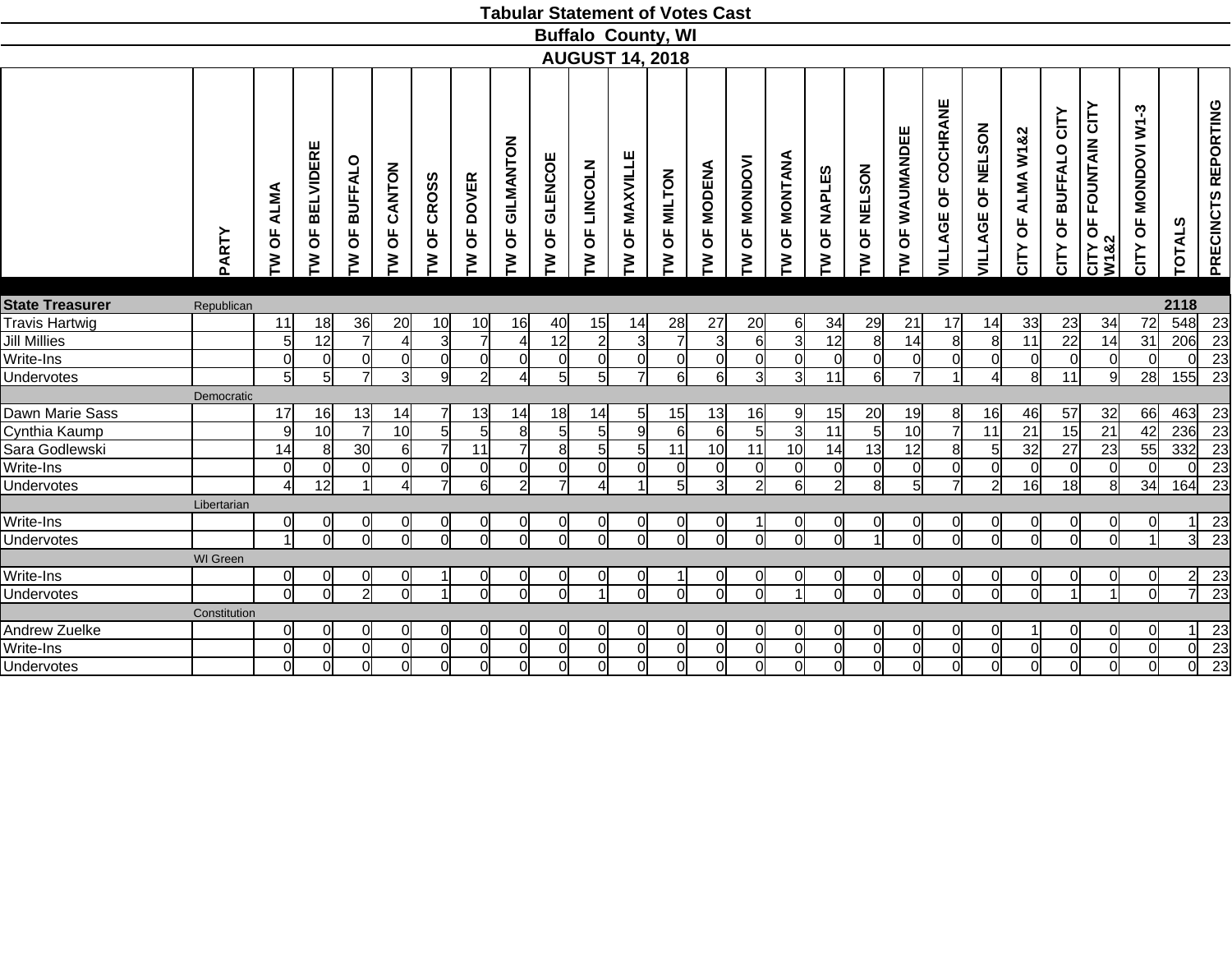| <b>Buffalo County, WI</b><br><b>AUGUST 14, 2018</b><br>VILLAGE OF COCHRANE<br>PRECINCTS REPORTING<br>CITY OF FOUNTAIN CITY<br>W1&2<br>CITY OF MONDOVI W1-3<br>CITY OF BUFFALO CITY<br>OF NELSON<br>OF WAUMANDEE<br>CITY OF ALMA W1&2<br>GILMANTON<br><b>BELVIDERE</b><br>OF MAXVILLE<br><b>OF MONTANA</b><br>OF GLENCOE<br>TW OF MONDOVI<br>OF BUFFALO<br>OF LINCOLN<br><b>MODENA</b><br>CANTON<br><b>OF NELSON</b><br>OF NAPLES<br>OF MILTON<br>OF CROSS<br>OF DOVER<br>TW OF ALMA<br>VILLAGE<br><b>TOTALS</b><br>Ъ<br>$\overline{\mathsf{b}}$<br>$\overline{\mathsf{b}}$<br>$\overline{5}$<br>PARTY<br>M<br>M<br>ξ<br>ξ<br>ξ<br>M<br>M<br>ξ<br>ξ<br>M<br>ξ<br>ξ<br>ξ<br>ξ<br>ξ<br><b>State Treasurer</b><br>2118<br>Republican<br><b>Travis Hartwig</b><br>548<br>36<br>34<br>11<br>18<br>20<br>10<br>10<br>16<br>40<br>15<br>14<br>28<br>27<br>20<br>$6 \mid$<br>34<br>29<br>21<br>17<br>14<br>33<br>23<br>72<br><u>კ</u><br>$\overline{22}$<br><b>Jill Millies</b><br>12<br>$\overline{7}$<br>12<br>$\overline{3}$<br>$\overline{12}$<br>$\overline{8}$<br>14<br>$\overline{8}$<br>$\overline{11}$<br>$\overline{31}$<br>206<br>5<br>$\overline{4}$<br>3<br>$\overline{2}$<br>$\overline{7}$<br>6<br>8<br>14<br>$\overline{4}$<br>3<br>Write-Ins<br>$\overline{0}$<br>$\overline{0}$<br>$\overline{0}$<br>$\overline{0}$<br> 0 <br>$\overline{0}$<br>$\overline{0}$<br>$\overline{0}$<br>$\overline{0}$<br>0l<br>$\overline{0}$<br>$\Omega$<br><sub>0</sub><br> 0 <br>$\overline{0}$<br>$\Omega$<br>$\overline{0}$<br><sup>0</sup><br>$\overline{0}$<br>0l<br>$\overline{0}$<br>$\mathbf 0$<br>$\Omega$<br>ΩI<br>$\overline{5}$<br>$\overline{3}$<br>$\overline{2}$<br>5<br>$\overline{5}$<br>6<br>$\overline{3}$<br>$\overline{6}$<br>$\overline{7}$<br>$5\overline{)}$<br>7<br>$6\overline{6}$<br>$\overline{3}$<br>$\overline{11}$<br>11<br>$\overline{9}$<br>Undervotes<br>9<br>$\overline{7}$<br>$\overline{4}$<br>8<br>28<br>155<br>$\overline{4}$<br>Democratic<br>Dawn Marie Sass<br>17<br>16<br>13<br>18<br>13<br>16<br>20<br>19<br>57<br>32<br>13<br>14<br>14<br>14<br>15<br>9<br>15<br>8<br>16<br>46<br>66<br>5<br>Cynthia Kaump<br>10<br>5<br>6<br>5<br>$\overline{3}$<br>$\overline{11}$<br>5<br>10<br>$\overline{7}$<br>11<br>15<br>$\overline{21}$<br>9<br>10<br>$5\overline{)}$<br>5<br>8<br>5 <sup>1</sup><br>9<br>6<br>$\overline{21}$<br>42<br>236<br>Sara Godlewski<br>$\overline{7}$<br>23<br>30<br>$\overline{7}$<br>11<br>8<br>5 <sub>l</sub><br>11<br>10<br>11<br>10<br>13<br>12<br>8<br>32<br>27<br>55<br>332<br>14<br>8<br>$6 \mid$<br>5<br>14<br>$5\overline{)}$<br>Write-Ins<br>$\overline{0}$<br>$\overline{O}$<br>$\overline{0}$<br>$\overline{0}$<br>$\overline{0}$<br><sub>0</sub><br>$\overline{0}$<br>$\Omega$<br>0l<br>$\Omega$<br>$\Omega$<br>$\Omega$<br>$\overline{0}$<br>$\overline{0}$<br>$\Omega$<br>$\overline{0}$<br>$\overline{0}$<br>$\Omega$<br>$\Omega$<br>0l<br>$\Omega$<br>$\Omega$<br>$\Omega$<br>$\Omega$<br>$\overline{5}$<br>$\overline{8}$<br>Undervotes<br>12<br>6<br>$\overline{2}$<br>$\overline{7}$<br>$\overline{3}$<br>$\overline{2}$<br>6<br>$\overline{5}$<br>$\overline{7}$<br>18<br>$\overline{4}$<br>$\overline{4}$<br>$\overline{4}$<br>$\overline{2}$<br>$\overline{2}$<br>16<br>8<br>34<br>164<br>$\overline{1}$<br>Libertarian<br>Write-Ins<br>0l<br>0l<br>0<br><sup>0</sup><br>0l<br>$\Omega$<br>0l<br>$\Omega$<br><sub>0</sub><br>0l<br>0l<br><sub>0</sub><br>0l<br>0l<br><sub>0</sub><br>$\Omega$<br>0<br>0<br>0<br><sup>0</sup><br>0<br>11<br>$\overline{23}$<br>$\overline{3}$<br>Undervotes<br>$\overline{0}$<br>$\Omega$<br>$\Omega$<br><sup>ol</sup><br>ΩI<br>ΩI<br><sub>0</sub><br>$\Omega$<br>ΩI<br>0l<br>$\vert$ 1<br>$\Omega$<br>$\overline{0}$<br>Ω<br>$\Omega$<br>$\Omega$<br>$\Omega$<br>$\Omega$<br>$\Omega$<br>$\Omega$<br>$\overline{1}$<br>$\Omega$<br><b>WI</b> Green<br>Write-Ins<br>$\overline{0}$<br>$\overline{2}$<br>23<br>0l<br><sup>0</sup><br><sub>0</sub><br>$\Omega$<br>$\overline{0}$<br><sub>0</sub><br>∩<br>01<br>01<br>ΩI<br>0<br>0<br>∩<br>0<br>0<br>Ωl<br>0<br>01<br>0<br>$\overline{23}$<br>$\overline{0}$<br>$\overline{0}$<br>7<br>$\overline{0}$<br>$\overline{2}$<br><sup>o</sup><br>$\overline{0}$<br>$\overline{0}$<br>ΩI<br>$\overline{0}$<br>ΩI<br>$\Omega$<br>ΩI<br><sub>0</sub><br>Undervotes<br>$\Omega$<br>ΩI<br>$\Omega$<br>$\Omega$<br>$\Omega$<br>$\vert$<br>$\vert$<br>$\overline{1}$<br>Constitution<br>Andrew Zuelke<br>23<br>$\overline{0}$<br>$\overline{0}$<br>0<br>0<br>$\overline{0}$<br>0l<br>$\Omega$<br>$\Omega$<br>$\overline{0}$<br>0l<br>0<br><sup>0</sup><br>$\overline{0}$<br>0l<br>0l<br><sub>0</sub><br>$\Omega$<br>0<br>0l<br><sup>0</sup><br><sup>0</sup><br>$\Omega$<br>11<br>$\overline{23}$<br>Write-Ins<br>$\overline{0}$<br>$\overline{0}$<br>$\overline{0}$<br>$\overline{0}$<br>$\overline{0}$<br>$\overline{0}$<br>$\overline{0}$<br>$\overline{0}$<br>$\overline{0}$<br>$\overline{0}$<br>$\overline{0}$<br>$\overline{0}$<br>$\overline{0}$<br>$\overline{0}$<br>$\overline{0}$<br>$\Omega$<br>$\mathbf 0$<br>0l<br>$\mathbf 0$<br>Ωl<br>$\mathbf 0$<br>$\Omega$<br>$\Omega$<br>ΩI |            |                |                |          |                |                |                |                |                |                |                | <b>Tabular Statement of Votes Cast</b> |                |              |              |                |                |                |          |              |          |                |                |          |                |                 |
|-----------------------------------------------------------------------------------------------------------------------------------------------------------------------------------------------------------------------------------------------------------------------------------------------------------------------------------------------------------------------------------------------------------------------------------------------------------------------------------------------------------------------------------------------------------------------------------------------------------------------------------------------------------------------------------------------------------------------------------------------------------------------------------------------------------------------------------------------------------------------------------------------------------------------------------------------------------------------------------------------------------------------------------------------------------------------------------------------------------------------------------------------------------------------------------------------------------------------------------------------------------------------------------------------------------------------------------------------------------------------------------------------------------------------------------------------------------------------------------------------------------------------------------------------------------------------------------------------------------------------------------------------------------------------------------------------------------------------------------------------------------------------------------------------------------------------------------------------------------------------------------------------------------------------------------------------------------------------------------------------------------------------------------------------------------------------------------------------------------------------------------------------------------------------------------------------------------------------------------------------------------------------------------------------------------------------------------------------------------------------------------------------------------------------------------------------------------------------------------------------------------------------------------------------------------------------------------------------------------------------------------------------------------------------------------------------------------------------------------------------------------------------------------------------------------------------------------------------------------------------------------------------------------------------------------------------------------------------------------------------------------------------------------------------------------------------------------------------------------------------------------------------------------------------------------------------------------------------------------------------------------------------------------------------------------------------------------------------------------------------------------------------------------------------------------------------------------------------------------------------------------------------------------------------------------------------------------------------------------------------------------------------------------------------------------------------------------------------------------------------------------------------------------------------------------------------------------------------------------------------------------------------------------------------------------------------------------------------------------------------------------------------------------------------------------------------------------------------------------------------------------------------------------------------------------------------------------------------------------------------------------------------------------------------------------------------------------------------------------------------------------------------------------------------------------------------------------------------------------------------------------------------------------------------------------------------------------------------------------------------------------------------------------------------------------------------------------------------------------------------------------------------------------------------------------------------------------------------------------------------------------------------------------------------------------------------------------------------------------------------------------------------------------------------------------------------------------------------------------------------------------------------|------------|----------------|----------------|----------|----------------|----------------|----------------|----------------|----------------|----------------|----------------|----------------------------------------|----------------|--------------|--------------|----------------|----------------|----------------|----------|--------------|----------|----------------|----------------|----------|----------------|-----------------|
| $\overline{23}$<br>23<br>$\overline{23}$<br>$\overline{23}$<br>463 23<br>$\overline{23}$<br>23<br>23<br>$\overline{23}$<br>23                                                                                                                                                                                                                                                                                                                                                                                                                                                                                                                                                                                                                                                                                                                                                                                                                                                                                                                                                                                                                                                                                                                                                                                                                                                                                                                                                                                                                                                                                                                                                                                                                                                                                                                                                                                                                                                                                                                                                                                                                                                                                                                                                                                                                                                                                                                                                                                                                                                                                                                                                                                                                                                                                                                                                                                                                                                                                                                                                                                                                                                                                                                                                                                                                                                                                                                                                                                                                                                                                                                                                                                                                                                                                                                                                                                                                                                                                                                                                                                                                                                                                                                                                                                                                                                                                                                                                                                                                                                                                                                                                                                                                                                                                                                                                                                                                                                                                                                                                                                                                 |            |                |                |          |                |                |                |                |                |                |                |                                        |                |              |              |                |                |                |          |              |          |                |                |          |                |                 |
|                                                                                                                                                                                                                                                                                                                                                                                                                                                                                                                                                                                                                                                                                                                                                                                                                                                                                                                                                                                                                                                                                                                                                                                                                                                                                                                                                                                                                                                                                                                                                                                                                                                                                                                                                                                                                                                                                                                                                                                                                                                                                                                                                                                                                                                                                                                                                                                                                                                                                                                                                                                                                                                                                                                                                                                                                                                                                                                                                                                                                                                                                                                                                                                                                                                                                                                                                                                                                                                                                                                                                                                                                                                                                                                                                                                                                                                                                                                                                                                                                                                                                                                                                                                                                                                                                                                                                                                                                                                                                                                                                                                                                                                                                                                                                                                                                                                                                                                                                                                                                                                                                                                                               |            |                |                |          |                |                |                |                |                |                |                |                                        |                |              |              |                |                |                |          |              |          |                |                |          |                |                 |
|                                                                                                                                                                                                                                                                                                                                                                                                                                                                                                                                                                                                                                                                                                                                                                                                                                                                                                                                                                                                                                                                                                                                                                                                                                                                                                                                                                                                                                                                                                                                                                                                                                                                                                                                                                                                                                                                                                                                                                                                                                                                                                                                                                                                                                                                                                                                                                                                                                                                                                                                                                                                                                                                                                                                                                                                                                                                                                                                                                                                                                                                                                                                                                                                                                                                                                                                                                                                                                                                                                                                                                                                                                                                                                                                                                                                                                                                                                                                                                                                                                                                                                                                                                                                                                                                                                                                                                                                                                                                                                                                                                                                                                                                                                                                                                                                                                                                                                                                                                                                                                                                                                                                               |            |                |                |          |                |                |                |                |                |                |                |                                        |                |              |              |                |                |                |          |              |          |                |                |          |                |                 |
|                                                                                                                                                                                                                                                                                                                                                                                                                                                                                                                                                                                                                                                                                                                                                                                                                                                                                                                                                                                                                                                                                                                                                                                                                                                                                                                                                                                                                                                                                                                                                                                                                                                                                                                                                                                                                                                                                                                                                                                                                                                                                                                                                                                                                                                                                                                                                                                                                                                                                                                                                                                                                                                                                                                                                                                                                                                                                                                                                                                                                                                                                                                                                                                                                                                                                                                                                                                                                                                                                                                                                                                                                                                                                                                                                                                                                                                                                                                                                                                                                                                                                                                                                                                                                                                                                                                                                                                                                                                                                                                                                                                                                                                                                                                                                                                                                                                                                                                                                                                                                                                                                                                                               |            |                |                |          |                |                |                |                |                |                |                |                                        |                |              |              |                |                |                |          |              |          |                |                |          |                |                 |
|                                                                                                                                                                                                                                                                                                                                                                                                                                                                                                                                                                                                                                                                                                                                                                                                                                                                                                                                                                                                                                                                                                                                                                                                                                                                                                                                                                                                                                                                                                                                                                                                                                                                                                                                                                                                                                                                                                                                                                                                                                                                                                                                                                                                                                                                                                                                                                                                                                                                                                                                                                                                                                                                                                                                                                                                                                                                                                                                                                                                                                                                                                                                                                                                                                                                                                                                                                                                                                                                                                                                                                                                                                                                                                                                                                                                                                                                                                                                                                                                                                                                                                                                                                                                                                                                                                                                                                                                                                                                                                                                                                                                                                                                                                                                                                                                                                                                                                                                                                                                                                                                                                                                               |            |                |                |          |                |                |                |                |                |                |                |                                        |                |              |              |                |                |                |          |              |          |                |                |          |                |                 |
|                                                                                                                                                                                                                                                                                                                                                                                                                                                                                                                                                                                                                                                                                                                                                                                                                                                                                                                                                                                                                                                                                                                                                                                                                                                                                                                                                                                                                                                                                                                                                                                                                                                                                                                                                                                                                                                                                                                                                                                                                                                                                                                                                                                                                                                                                                                                                                                                                                                                                                                                                                                                                                                                                                                                                                                                                                                                                                                                                                                                                                                                                                                                                                                                                                                                                                                                                                                                                                                                                                                                                                                                                                                                                                                                                                                                                                                                                                                                                                                                                                                                                                                                                                                                                                                                                                                                                                                                                                                                                                                                                                                                                                                                                                                                                                                                                                                                                                                                                                                                                                                                                                                                               |            |                |                |          |                |                |                |                |                |                |                |                                        |                |              |              |                |                |                |          |              |          |                |                |          |                |                 |
|                                                                                                                                                                                                                                                                                                                                                                                                                                                                                                                                                                                                                                                                                                                                                                                                                                                                                                                                                                                                                                                                                                                                                                                                                                                                                                                                                                                                                                                                                                                                                                                                                                                                                                                                                                                                                                                                                                                                                                                                                                                                                                                                                                                                                                                                                                                                                                                                                                                                                                                                                                                                                                                                                                                                                                                                                                                                                                                                                                                                                                                                                                                                                                                                                                                                                                                                                                                                                                                                                                                                                                                                                                                                                                                                                                                                                                                                                                                                                                                                                                                                                                                                                                                                                                                                                                                                                                                                                                                                                                                                                                                                                                                                                                                                                                                                                                                                                                                                                                                                                                                                                                                                               |            |                |                |          |                |                |                |                |                |                |                |                                        |                |              |              |                |                |                |          |              |          |                |                |          |                |                 |
|                                                                                                                                                                                                                                                                                                                                                                                                                                                                                                                                                                                                                                                                                                                                                                                                                                                                                                                                                                                                                                                                                                                                                                                                                                                                                                                                                                                                                                                                                                                                                                                                                                                                                                                                                                                                                                                                                                                                                                                                                                                                                                                                                                                                                                                                                                                                                                                                                                                                                                                                                                                                                                                                                                                                                                                                                                                                                                                                                                                                                                                                                                                                                                                                                                                                                                                                                                                                                                                                                                                                                                                                                                                                                                                                                                                                                                                                                                                                                                                                                                                                                                                                                                                                                                                                                                                                                                                                                                                                                                                                                                                                                                                                                                                                                                                                                                                                                                                                                                                                                                                                                                                                               |            |                |                |          |                |                |                |                |                |                |                |                                        |                |              |              |                |                |                |          |              |          |                |                |          |                |                 |
|                                                                                                                                                                                                                                                                                                                                                                                                                                                                                                                                                                                                                                                                                                                                                                                                                                                                                                                                                                                                                                                                                                                                                                                                                                                                                                                                                                                                                                                                                                                                                                                                                                                                                                                                                                                                                                                                                                                                                                                                                                                                                                                                                                                                                                                                                                                                                                                                                                                                                                                                                                                                                                                                                                                                                                                                                                                                                                                                                                                                                                                                                                                                                                                                                                                                                                                                                                                                                                                                                                                                                                                                                                                                                                                                                                                                                                                                                                                                                                                                                                                                                                                                                                                                                                                                                                                                                                                                                                                                                                                                                                                                                                                                                                                                                                                                                                                                                                                                                                                                                                                                                                                                               |            |                |                |          |                |                |                |                |                |                |                |                                        |                |              |              |                |                |                |          |              |          |                |                |          |                |                 |
|                                                                                                                                                                                                                                                                                                                                                                                                                                                                                                                                                                                                                                                                                                                                                                                                                                                                                                                                                                                                                                                                                                                                                                                                                                                                                                                                                                                                                                                                                                                                                                                                                                                                                                                                                                                                                                                                                                                                                                                                                                                                                                                                                                                                                                                                                                                                                                                                                                                                                                                                                                                                                                                                                                                                                                                                                                                                                                                                                                                                                                                                                                                                                                                                                                                                                                                                                                                                                                                                                                                                                                                                                                                                                                                                                                                                                                                                                                                                                                                                                                                                                                                                                                                                                                                                                                                                                                                                                                                                                                                                                                                                                                                                                                                                                                                                                                                                                                                                                                                                                                                                                                                                               |            |                |                |          |                |                |                |                |                |                |                |                                        |                |              |              |                |                |                |          |              |          |                |                |          |                |                 |
|                                                                                                                                                                                                                                                                                                                                                                                                                                                                                                                                                                                                                                                                                                                                                                                                                                                                                                                                                                                                                                                                                                                                                                                                                                                                                                                                                                                                                                                                                                                                                                                                                                                                                                                                                                                                                                                                                                                                                                                                                                                                                                                                                                                                                                                                                                                                                                                                                                                                                                                                                                                                                                                                                                                                                                                                                                                                                                                                                                                                                                                                                                                                                                                                                                                                                                                                                                                                                                                                                                                                                                                                                                                                                                                                                                                                                                                                                                                                                                                                                                                                                                                                                                                                                                                                                                                                                                                                                                                                                                                                                                                                                                                                                                                                                                                                                                                                                                                                                                                                                                                                                                                                               |            |                |                |          |                |                |                |                |                |                |                |                                        |                |              |              |                |                |                |          |              |          |                |                |          |                |                 |
|                                                                                                                                                                                                                                                                                                                                                                                                                                                                                                                                                                                                                                                                                                                                                                                                                                                                                                                                                                                                                                                                                                                                                                                                                                                                                                                                                                                                                                                                                                                                                                                                                                                                                                                                                                                                                                                                                                                                                                                                                                                                                                                                                                                                                                                                                                                                                                                                                                                                                                                                                                                                                                                                                                                                                                                                                                                                                                                                                                                                                                                                                                                                                                                                                                                                                                                                                                                                                                                                                                                                                                                                                                                                                                                                                                                                                                                                                                                                                                                                                                                                                                                                                                                                                                                                                                                                                                                                                                                                                                                                                                                                                                                                                                                                                                                                                                                                                                                                                                                                                                                                                                                                               |            |                |                |          |                |                |                |                |                |                |                |                                        |                |              |              |                |                |                |          |              |          |                |                |          |                |                 |
|                                                                                                                                                                                                                                                                                                                                                                                                                                                                                                                                                                                                                                                                                                                                                                                                                                                                                                                                                                                                                                                                                                                                                                                                                                                                                                                                                                                                                                                                                                                                                                                                                                                                                                                                                                                                                                                                                                                                                                                                                                                                                                                                                                                                                                                                                                                                                                                                                                                                                                                                                                                                                                                                                                                                                                                                                                                                                                                                                                                                                                                                                                                                                                                                                                                                                                                                                                                                                                                                                                                                                                                                                                                                                                                                                                                                                                                                                                                                                                                                                                                                                                                                                                                                                                                                                                                                                                                                                                                                                                                                                                                                                                                                                                                                                                                                                                                                                                                                                                                                                                                                                                                                               |            |                |                |          |                |                |                |                |                |                |                |                                        |                |              |              |                |                |                |          |              |          |                |                |          |                |                 |
|                                                                                                                                                                                                                                                                                                                                                                                                                                                                                                                                                                                                                                                                                                                                                                                                                                                                                                                                                                                                                                                                                                                                                                                                                                                                                                                                                                                                                                                                                                                                                                                                                                                                                                                                                                                                                                                                                                                                                                                                                                                                                                                                                                                                                                                                                                                                                                                                                                                                                                                                                                                                                                                                                                                                                                                                                                                                                                                                                                                                                                                                                                                                                                                                                                                                                                                                                                                                                                                                                                                                                                                                                                                                                                                                                                                                                                                                                                                                                                                                                                                                                                                                                                                                                                                                                                                                                                                                                                                                                                                                                                                                                                                                                                                                                                                                                                                                                                                                                                                                                                                                                                                                               |            |                |                |          |                |                |                |                |                |                |                |                                        |                |              |              |                |                |                |          |              |          |                |                |          |                |                 |
|                                                                                                                                                                                                                                                                                                                                                                                                                                                                                                                                                                                                                                                                                                                                                                                                                                                                                                                                                                                                                                                                                                                                                                                                                                                                                                                                                                                                                                                                                                                                                                                                                                                                                                                                                                                                                                                                                                                                                                                                                                                                                                                                                                                                                                                                                                                                                                                                                                                                                                                                                                                                                                                                                                                                                                                                                                                                                                                                                                                                                                                                                                                                                                                                                                                                                                                                                                                                                                                                                                                                                                                                                                                                                                                                                                                                                                                                                                                                                                                                                                                                                                                                                                                                                                                                                                                                                                                                                                                                                                                                                                                                                                                                                                                                                                                                                                                                                                                                                                                                                                                                                                                                               |            |                |                |          |                |                |                |                |                |                |                |                                        |                |              |              |                |                |                |          |              |          |                |                |          |                |                 |
|                                                                                                                                                                                                                                                                                                                                                                                                                                                                                                                                                                                                                                                                                                                                                                                                                                                                                                                                                                                                                                                                                                                                                                                                                                                                                                                                                                                                                                                                                                                                                                                                                                                                                                                                                                                                                                                                                                                                                                                                                                                                                                                                                                                                                                                                                                                                                                                                                                                                                                                                                                                                                                                                                                                                                                                                                                                                                                                                                                                                                                                                                                                                                                                                                                                                                                                                                                                                                                                                                                                                                                                                                                                                                                                                                                                                                                                                                                                                                                                                                                                                                                                                                                                                                                                                                                                                                                                                                                                                                                                                                                                                                                                                                                                                                                                                                                                                                                                                                                                                                                                                                                                                               |            |                |                |          |                |                |                |                |                |                |                |                                        |                |              |              |                |                |                |          |              |          |                |                |          |                |                 |
|                                                                                                                                                                                                                                                                                                                                                                                                                                                                                                                                                                                                                                                                                                                                                                                                                                                                                                                                                                                                                                                                                                                                                                                                                                                                                                                                                                                                                                                                                                                                                                                                                                                                                                                                                                                                                                                                                                                                                                                                                                                                                                                                                                                                                                                                                                                                                                                                                                                                                                                                                                                                                                                                                                                                                                                                                                                                                                                                                                                                                                                                                                                                                                                                                                                                                                                                                                                                                                                                                                                                                                                                                                                                                                                                                                                                                                                                                                                                                                                                                                                                                                                                                                                                                                                                                                                                                                                                                                                                                                                                                                                                                                                                                                                                                                                                                                                                                                                                                                                                                                                                                                                                               |            |                |                |          |                |                |                |                |                |                |                |                                        |                |              |              |                |                |                |          |              |          |                |                |          |                |                 |
|                                                                                                                                                                                                                                                                                                                                                                                                                                                                                                                                                                                                                                                                                                                                                                                                                                                                                                                                                                                                                                                                                                                                                                                                                                                                                                                                                                                                                                                                                                                                                                                                                                                                                                                                                                                                                                                                                                                                                                                                                                                                                                                                                                                                                                                                                                                                                                                                                                                                                                                                                                                                                                                                                                                                                                                                                                                                                                                                                                                                                                                                                                                                                                                                                                                                                                                                                                                                                                                                                                                                                                                                                                                                                                                                                                                                                                                                                                                                                                                                                                                                                                                                                                                                                                                                                                                                                                                                                                                                                                                                                                                                                                                                                                                                                                                                                                                                                                                                                                                                                                                                                                                                               |            |                |                |          |                |                |                |                |                |                |                |                                        |                |              |              |                |                |                |          |              |          |                |                |          |                |                 |
|                                                                                                                                                                                                                                                                                                                                                                                                                                                                                                                                                                                                                                                                                                                                                                                                                                                                                                                                                                                                                                                                                                                                                                                                                                                                                                                                                                                                                                                                                                                                                                                                                                                                                                                                                                                                                                                                                                                                                                                                                                                                                                                                                                                                                                                                                                                                                                                                                                                                                                                                                                                                                                                                                                                                                                                                                                                                                                                                                                                                                                                                                                                                                                                                                                                                                                                                                                                                                                                                                                                                                                                                                                                                                                                                                                                                                                                                                                                                                                                                                                                                                                                                                                                                                                                                                                                                                                                                                                                                                                                                                                                                                                                                                                                                                                                                                                                                                                                                                                                                                                                                                                                                               |            |                |                |          |                |                |                |                |                |                |                |                                        |                |              |              |                |                |                |          |              |          |                |                |          |                |                 |
|                                                                                                                                                                                                                                                                                                                                                                                                                                                                                                                                                                                                                                                                                                                                                                                                                                                                                                                                                                                                                                                                                                                                                                                                                                                                                                                                                                                                                                                                                                                                                                                                                                                                                                                                                                                                                                                                                                                                                                                                                                                                                                                                                                                                                                                                                                                                                                                                                                                                                                                                                                                                                                                                                                                                                                                                                                                                                                                                                                                                                                                                                                                                                                                                                                                                                                                                                                                                                                                                                                                                                                                                                                                                                                                                                                                                                                                                                                                                                                                                                                                                                                                                                                                                                                                                                                                                                                                                                                                                                                                                                                                                                                                                                                                                                                                                                                                                                                                                                                                                                                                                                                                                               |            |                |                |          |                |                |                |                |                |                |                |                                        |                |              |              |                |                |                |          |              |          |                |                |          |                |                 |
|                                                                                                                                                                                                                                                                                                                                                                                                                                                                                                                                                                                                                                                                                                                                                                                                                                                                                                                                                                                                                                                                                                                                                                                                                                                                                                                                                                                                                                                                                                                                                                                                                                                                                                                                                                                                                                                                                                                                                                                                                                                                                                                                                                                                                                                                                                                                                                                                                                                                                                                                                                                                                                                                                                                                                                                                                                                                                                                                                                                                                                                                                                                                                                                                                                                                                                                                                                                                                                                                                                                                                                                                                                                                                                                                                                                                                                                                                                                                                                                                                                                                                                                                                                                                                                                                                                                                                                                                                                                                                                                                                                                                                                                                                                                                                                                                                                                                                                                                                                                                                                                                                                                                               |            |                |                |          |                |                |                |                |                |                |                |                                        |                |              |              |                |                |                |          |              |          |                |                |          |                |                 |
|                                                                                                                                                                                                                                                                                                                                                                                                                                                                                                                                                                                                                                                                                                                                                                                                                                                                                                                                                                                                                                                                                                                                                                                                                                                                                                                                                                                                                                                                                                                                                                                                                                                                                                                                                                                                                                                                                                                                                                                                                                                                                                                                                                                                                                                                                                                                                                                                                                                                                                                                                                                                                                                                                                                                                                                                                                                                                                                                                                                                                                                                                                                                                                                                                                                                                                                                                                                                                                                                                                                                                                                                                                                                                                                                                                                                                                                                                                                                                                                                                                                                                                                                                                                                                                                                                                                                                                                                                                                                                                                                                                                                                                                                                                                                                                                                                                                                                                                                                                                                                                                                                                                                               |            |                |                |          |                |                |                |                |                |                |                |                                        |                |              |              |                |                |                |          |              |          |                |                |          |                |                 |
|                                                                                                                                                                                                                                                                                                                                                                                                                                                                                                                                                                                                                                                                                                                                                                                                                                                                                                                                                                                                                                                                                                                                                                                                                                                                                                                                                                                                                                                                                                                                                                                                                                                                                                                                                                                                                                                                                                                                                                                                                                                                                                                                                                                                                                                                                                                                                                                                                                                                                                                                                                                                                                                                                                                                                                                                                                                                                                                                                                                                                                                                                                                                                                                                                                                                                                                                                                                                                                                                                                                                                                                                                                                                                                                                                                                                                                                                                                                                                                                                                                                                                                                                                                                                                                                                                                                                                                                                                                                                                                                                                                                                                                                                                                                                                                                                                                                                                                                                                                                                                                                                                                                                               |            |                |                |          |                |                |                |                |                |                |                |                                        |                |              |              |                |                |                |          |              |          |                |                |          |                |                 |
|                                                                                                                                                                                                                                                                                                                                                                                                                                                                                                                                                                                                                                                                                                                                                                                                                                                                                                                                                                                                                                                                                                                                                                                                                                                                                                                                                                                                                                                                                                                                                                                                                                                                                                                                                                                                                                                                                                                                                                                                                                                                                                                                                                                                                                                                                                                                                                                                                                                                                                                                                                                                                                                                                                                                                                                                                                                                                                                                                                                                                                                                                                                                                                                                                                                                                                                                                                                                                                                                                                                                                                                                                                                                                                                                                                                                                                                                                                                                                                                                                                                                                                                                                                                                                                                                                                                                                                                                                                                                                                                                                                                                                                                                                                                                                                                                                                                                                                                                                                                                                                                                                                                                               |            |                |                |          |                |                |                |                |                |                |                |                                        |                |              |              |                |                |                |          |              |          |                |                |          |                |                 |
|                                                                                                                                                                                                                                                                                                                                                                                                                                                                                                                                                                                                                                                                                                                                                                                                                                                                                                                                                                                                                                                                                                                                                                                                                                                                                                                                                                                                                                                                                                                                                                                                                                                                                                                                                                                                                                                                                                                                                                                                                                                                                                                                                                                                                                                                                                                                                                                                                                                                                                                                                                                                                                                                                                                                                                                                                                                                                                                                                                                                                                                                                                                                                                                                                                                                                                                                                                                                                                                                                                                                                                                                                                                                                                                                                                                                                                                                                                                                                                                                                                                                                                                                                                                                                                                                                                                                                                                                                                                                                                                                                                                                                                                                                                                                                                                                                                                                                                                                                                                                                                                                                                                                               |            |                |                |          |                |                |                |                |                |                |                |                                        |                |              |              |                |                |                |          |              |          |                |                |          |                |                 |
|                                                                                                                                                                                                                                                                                                                                                                                                                                                                                                                                                                                                                                                                                                                                                                                                                                                                                                                                                                                                                                                                                                                                                                                                                                                                                                                                                                                                                                                                                                                                                                                                                                                                                                                                                                                                                                                                                                                                                                                                                                                                                                                                                                                                                                                                                                                                                                                                                                                                                                                                                                                                                                                                                                                                                                                                                                                                                                                                                                                                                                                                                                                                                                                                                                                                                                                                                                                                                                                                                                                                                                                                                                                                                                                                                                                                                                                                                                                                                                                                                                                                                                                                                                                                                                                                                                                                                                                                                                                                                                                                                                                                                                                                                                                                                                                                                                                                                                                                                                                                                                                                                                                                               | Undervotes | $\overline{0}$ | $\overline{0}$ | $\Omega$ | $\overline{0}$ | $\overline{0}$ | $\overline{0}$ | $\overline{0}$ | $\overline{0}$ | $\overline{0}$ | $\overline{0}$ | $\overline{0}$                         | $\overline{0}$ | <sub>0</sub> | <sub>0</sub> | $\overline{0}$ | $\overline{0}$ | $\overline{0}$ | $\Omega$ | $\mathsf{O}$ | $\Omega$ | $\overline{0}$ | $\overline{0}$ | $\Omega$ | $\overline{0}$ | $\overline{23}$ |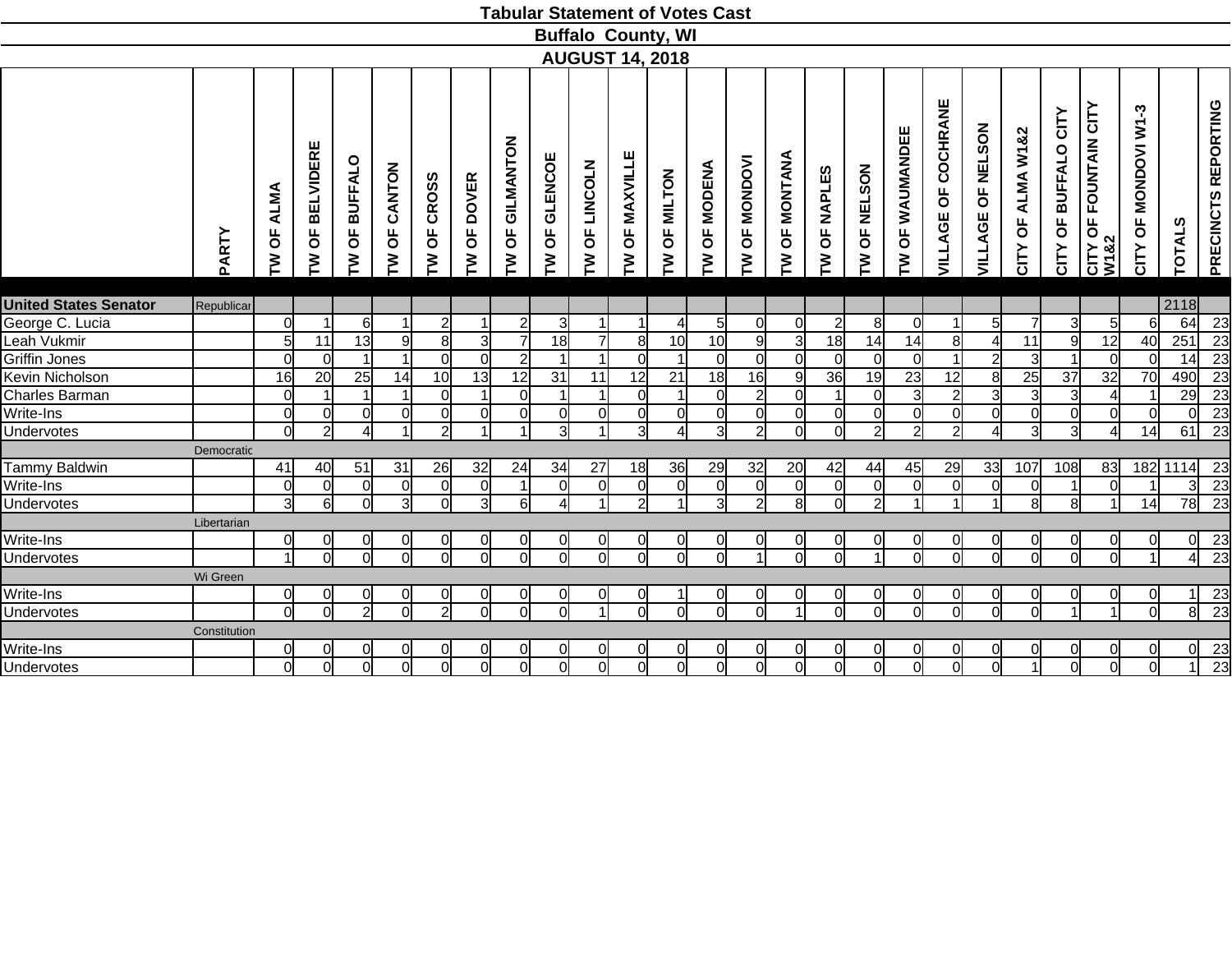|                              |              |                 |                             |                 |                                        |                                     |                         |                                  |                 |                   | <b>Tabular Statement of Votes Cast</b> |                         |                                      |                 |                        |                |                |                   |                     |                      |                         |                         |                                  |                         |                |                     |
|------------------------------|--------------|-----------------|-----------------------------|-----------------|----------------------------------------|-------------------------------------|-------------------------|----------------------------------|-----------------|-------------------|----------------------------------------|-------------------------|--------------------------------------|-----------------|------------------------|----------------|----------------|-------------------|---------------------|----------------------|-------------------------|-------------------------|----------------------------------|-------------------------|----------------|---------------------|
|                              |              |                 |                             |                 |                                        |                                     |                         |                                  |                 |                   | <b>Buffalo County, WI</b>              |                         |                                      |                 |                        |                |                |                   |                     |                      |                         |                         |                                  |                         |                |                     |
|                              |              |                 |                             |                 |                                        |                                     |                         |                                  |                 |                   | <b>AUGUST 14, 2018</b>                 |                         |                                      |                 |                        |                |                |                   |                     |                      |                         |                         |                                  |                         |                |                     |
|                              | PARTY        | ALMA<br>Ъ<br>ξ  | <b>BELVIDERE</b><br>pp<br>ξ | OF BUFFALO<br>ξ | CANTON<br>$\overline{\mathsf{b}}$<br>ξ | <b>CROSS</b><br>$\overline{0}$<br>ξ | OF DOVER<br>ξ           | GILMANTON<br>$\overline{5}$<br>ξ | OF GLENCOE<br>ξ | LINCOLN<br>Ъ<br>≧ | OF MAXVILLE<br>ξ                       | OF MILTON<br>ξ          | <b>MODENA</b><br>$\overline{6}$<br>ξ | OF MONDOVI<br>ξ | <b>OF MONTANA</b><br>≧ | OF NAPLES<br>ξ | OF NELSON<br>ξ | OF WAUMANDEE<br>ξ | VILLAGE OF COCHRANE | OF NELSON<br>VILLAGE | OF ALMA W1&2<br>CITY    | OF BUFFALO CITY<br>CITY | OF FOUNTAIN CITY<br>W1&2<br>CITY | OF MONDOVI W1-3<br>CITY | <b>TOTALS</b>  | PRECINCTS REPORTING |
|                              |              |                 |                             |                 |                                        |                                     |                         |                                  |                 |                   |                                        |                         |                                      |                 |                        |                |                |                   |                     |                      |                         |                         |                                  |                         |                |                     |
| <b>United States Senator</b> | Republicar   |                 |                             |                 |                                        |                                     |                         |                                  |                 |                   |                                        |                         |                                      |                 |                        |                |                |                   |                     |                      |                         |                         |                                  |                         | 2118           |                     |
| George C. Lucia              |              | $\overline{0}$  | -1                          | 6               | 11                                     | $\overline{2}$                      |                         | $\overline{2}$                   | 3               |                   |                                        | $\overline{4}$          | 5                                    | $\Omega$        | 0                      | $\overline{2}$ | 8              | 0                 | 1                   | 5 <sup>1</sup>       |                         | 3                       | 5                                | 61                      | 64             | 23                  |
| Leah Vukmir                  |              | $5\overline{)}$ | 11                          | 13              | 9                                      | 8                                   | 3                       | $\overline{7}$                   | 18              | $\overline{7}$    | 8                                      | 10                      | 10                                   | 9               | 3                      | 18             | 14             | 14                | 8                   |                      | 11                      | 9                       | 12                               | 40                      | 251            | 23                  |
| Griffin Jones                |              | $\overline{0}$  | $\Omega$                    |                 |                                        | $\Omega$                            | $\overline{0}$          | $\overline{2}$                   |                 |                   | $\Omega$                               |                         | $\Omega$                             | 0l              | $\Omega$               | $\Omega$       | $\overline{0}$ | $\Omega$          |                     | $\mathcal{D}$        | 3                       |                         | $\Omega$                         | 0l                      | 14             | $\overline{23}$     |
| Kevin Nicholson              |              | 16              | 20                          | 25              | 14                                     | 10                                  | 13                      | 12                               | 31              | 11                | 12                                     | 21                      | 18                                   | 16              | 9                      | 36             | 19             | 23                | 12                  | 8                    | 25                      | 37                      | 32                               | 70                      | 490            | 23                  |
| Charles Barman               |              | $\mathbf 0$     |                             | 1               |                                        | $\Omega$                            |                         | $\Omega$                         | 1               |                   | $\Omega$                               |                         | <sup>0</sup>                         | $\overline{2}$  | $\Omega$               |                | $\overline{0}$ | $\mathbf{3}$      | $\overline{2}$      | 3                    | 3                       | 3                       | $\overline{4}$                   |                         | 29             | 23                  |
| Write-Ins                    |              | $\overline{0}$  | <sub>0</sub>                | $\Omega$        | $\Omega$                               | $\Omega$                            | $\mathbf 0$             | <sub>0</sub>                     | $\Omega$        | 0                 | $\Omega$                               | $\mathbf 0$             | $\overline{0}$                       | 0l              | $\Omega$               | $\Omega$       | $\overline{0}$ | $\overline{0}$    | 0l                  | $\Omega$             | $\Omega$                | $\overline{0}$          | $\overline{0}$                   | ΩI                      |                | $\overline{23}$     |
| Undervotes                   |              | $\overline{0}$  | $\overline{2}$              | 4               |                                        | $\overline{2}$                      |                         |                                  | $\overline{3}$  |                   | зI                                     | $\overline{4}$          | $\overline{3}$                       | $\overline{2}$  | $\Omega$               | $\Omega$       | $\overline{2}$ | $\overline{2}$    | $\overline{2}$      |                      | $\overline{\mathbf{3}}$ | $\overline{3}$          | $\overline{4}$                   | 14                      | 61             | $\overline{23}$     |
|                              | Democratic   |                 |                             |                 |                                        |                                     |                         |                                  |                 |                   |                                        |                         |                                      |                 |                        |                |                |                   |                     |                      |                         |                         |                                  |                         |                |                     |
| Tammy Baldwin                |              | 41              | 40                          | 51              | 31                                     | 26                                  | 32                      | 24                               | 34              | 27                | 18                                     | 36                      | 29                                   | 32              | 20                     | 42             | 44             | 45                | 29                  | 33                   | 107                     | 108                     | 83                               |                         | 182 1114 23    |                     |
| Write-Ins                    |              | $\overline{0}$  | $\overline{0}$              | $\overline{0}$  | $\mathbf 0$                            | $\Omega$                            | $\overline{0}$          | 1                                | $\Omega$        | $\mathbf 0$       | $\Omega$                               | $\mathbf 0$             | $\overline{0}$                       | $\overline{0}$  | $\overline{0}$         | $\Omega$       | $\overline{0}$ | $\overline{0}$    | 0l                  | $\Omega$             | $\Omega$                |                         | $\overline{0}$                   | 1                       |                | 23                  |
| Undervotes                   |              | دی              | 6                           | $\overline{0}$  | $\overline{3}$                         | $\Omega$                            | $\overline{3}$          | 6                                | $\overline{4}$  |                   | $\overline{2}$                         |                         | $\overline{3}$                       | $\overline{2}$  | $\mathbf{8}$           | $\Omega$       | $\overline{2}$ |                   | 1I                  |                      | 8                       | $\overline{8}$          | 1                                | 14                      | 78             | $\overline{23}$     |
|                              | Libertarian  |                 |                             |                 |                                        |                                     |                         |                                  |                 |                   |                                        |                         |                                      |                 |                        |                |                |                   |                     |                      |                         |                         |                                  |                         |                |                     |
| Write-Ins                    |              | $\overline{0}$  | 01                          | $\overline{0}$  | 0                                      | 0                                   | $\overline{0}$          | $\Omega$                         | $\overline{0}$  | 0                 | $\Omega$                               | $\overline{0}$          | 0                                    | 0l              | 0                      | 0              | $\overline{0}$ | 0                 | <sup>0</sup>        |                      | <sup>0</sup>            | $\overline{0}$          | 01                               | 0l                      |                |                     |
| Undervotes                   |              | $\overline{1}$  | $\Omega$                    | <u>ਹ</u>        | $\Omega$                               | Ω                                   | $\overline{\mathbf{0}}$ | $\Omega$                         |                 | $\Omega$          | $\Omega$                               | $\overline{\mathbf{0}}$ | $\Omega$                             | $\overline{1}$  | $\Omega$               | $\Omega$       | $\overline{1}$ | $\Omega$          | ี่ด                 | $\Omega$             | $\Omega$                | $\overline{0}$          | $\overline{0}$                   | $\overline{1}$          |                | $\frac{23}{23}$     |
|                              | Wi Green     |                 |                             |                 |                                        |                                     |                         |                                  |                 |                   |                                        |                         |                                      |                 |                        |                |                |                   |                     |                      |                         |                         |                                  |                         |                |                     |
| Write-Ins                    |              | $\overline{0}$  | 0                           | $\overline{0}$  |                                        | 0                                   | $\overline{0}$          | $\Omega$                         | $\overline{0}$  |                   | 0                                      |                         | 0                                    | 0l              |                        | $\overline{0}$ | $\overline{0}$ | $\Omega$          | <sup>0</sup>        | 0                    | 0                       | $\overline{0}$          | 0                                | 0                       |                | $\overline{23}$     |
| Undervotes                   |              | $\overline{0}$  | $\overline{0}$              | $\overline{2}$  | $\overline{0}$                         | $\overline{2}$                      | $\overline{\mathsf{o}}$ | $\Omega$                         | $\overline{0}$  |                   | $\Omega$                               | $\overline{0}$          | $\Omega$                             | ี่ด             |                        | $\Omega$       | $\overline{0}$ | $\overline{0}$    | $\overline{0}$      | $\Omega$             | $\Omega$                |                         |                                  | 하                       | $\overline{8}$ | $\overline{23}$     |
|                              | Constitution |                 |                             |                 |                                        |                                     |                         |                                  |                 |                   |                                        |                         |                                      |                 |                        |                |                |                   |                     |                      |                         |                         |                                  |                         |                |                     |
| Write-Ins                    |              | $\overline{0}$  | 0                           | 01              |                                        | 0                                   | $\overline{0}$          | 0                                | <sup>0</sup>    |                   | 0                                      | 0                       | 0                                    | 0l              |                        | 0              | $\overline{0}$ | 0                 | 0l                  |                      |                         | $\overline{0}$          | 0                                | 0l                      |                |                     |
| Undervotes                   |              | $\overline{0}$  | $\overline{0}$              | $\overline{0}$  | $\Omega$                               | $\Omega$                            | $\overline{0}$          | $\overline{0}$                   | $\overline{0}$  | $\Omega$          | $\Omega$                               | $\overline{0}$          | $\overline{0}$                       | $\overline{0}$  | $\Omega$               | $\Omega$       | $\overline{0}$ | $\overline{0}$    | $\overline{0}$      |                      |                         | $\overline{0}$          | $\overline{0}$                   | $\overline{0}$          |                | $\frac{23}{23}$     |
|                              |              |                 |                             |                 |                                        |                                     |                         |                                  |                 |                   |                                        |                         |                                      |                 |                        |                |                |                   |                     |                      |                         |                         |                                  |                         |                |                     |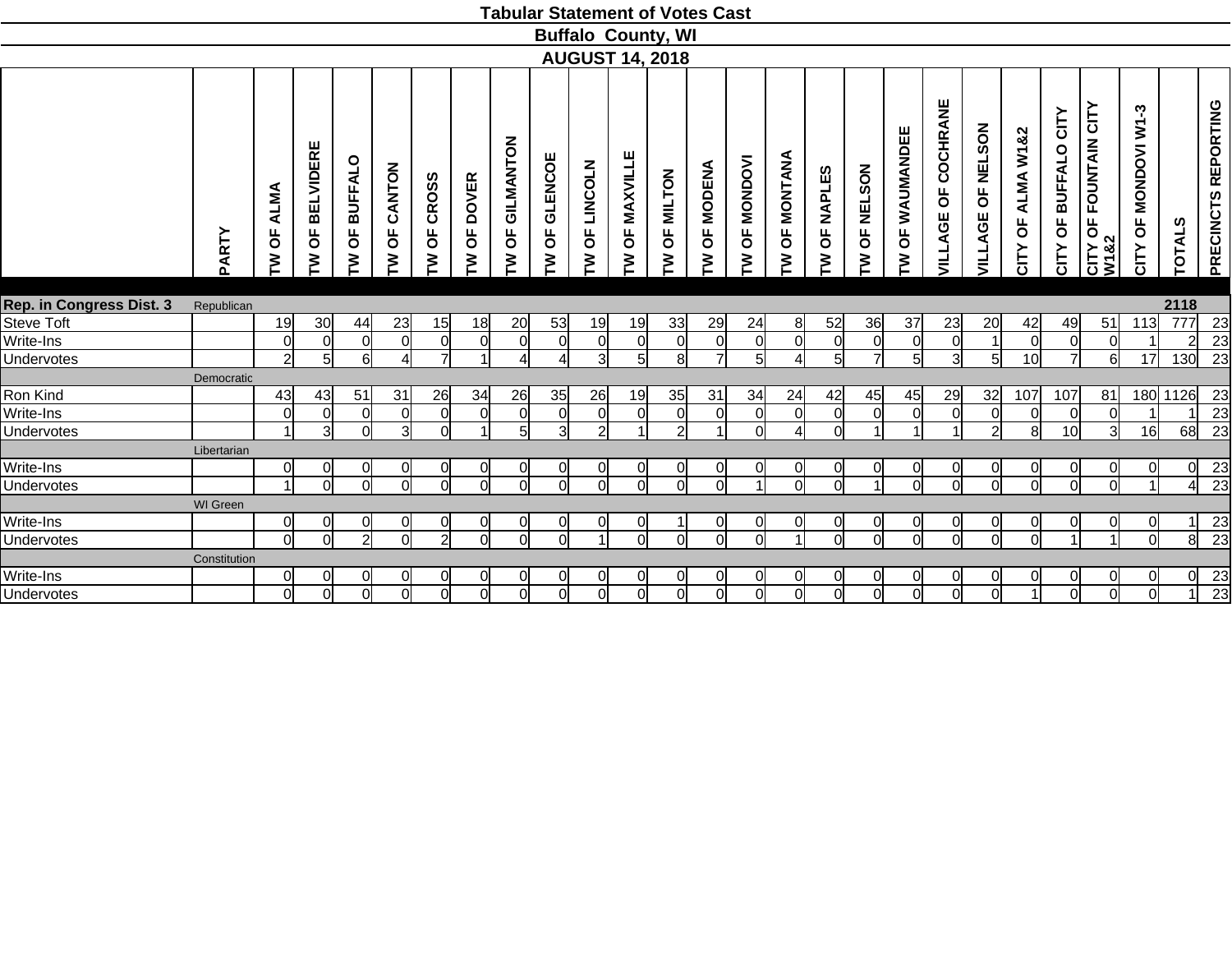|                          |                 |                                             |                             |                          |                  |                                     |                                              |                                  |                          |                                       |                           |                | <b>Tabular Statement of Votes Cast</b> |                        |                                |                       |                |                                  |                          |                                            |                      |                            |                                    |                                                          |                |                     |
|--------------------------|-----------------|---------------------------------------------|-----------------------------|--------------------------|------------------|-------------------------------------|----------------------------------------------|----------------------------------|--------------------------|---------------------------------------|---------------------------|----------------|----------------------------------------|------------------------|--------------------------------|-----------------------|----------------|----------------------------------|--------------------------|--------------------------------------------|----------------------|----------------------------|------------------------------------|----------------------------------------------------------|----------------|---------------------|
|                          |                 |                                             |                             |                          |                  |                                     |                                              |                                  |                          |                                       | <b>Buffalo County, WI</b> |                |                                        |                        |                                |                       |                |                                  |                          |                                            |                      |                            |                                    |                                                          |                |                     |
|                          |                 |                                             |                             |                          |                  |                                     |                                              |                                  |                          |                                       | <b>AUGUST 14, 2018</b>    |                |                                        |                        |                                |                       |                |                                  |                          |                                            |                      |                            |                                    |                                                          |                |                     |
|                          | PARTY           | <b>ALMA</b><br>$\overline{\mathsf{b}}$<br>ξ | <b>BELVIDERE</b><br>pp<br>≧ | <b>BUFFALO</b><br>Ъ<br>ξ | CANTON<br>Ъ<br>ξ | <b>CROSS</b><br>$\overline{0}$<br>Σ | <b>DOVER</b><br>$\overline{\mathsf{b}}$<br>ξ | GILMANTON<br>$\overline{6}$<br>ξ | <b>GLENCOE</b><br>Ъ<br>ξ | <b>LINCOLN</b><br>$\overline{5}$<br>ξ | OF MAXVILLE<br>ξ          | OF MILTON<br>ξ | <b>MODENA</b><br>$\overline{5}$<br>ξ   | <b>OF MONDOVI</b><br>ξ | MONTANA<br>$\overline{6}$<br>ξ | <b>OF NAPLES</b><br>Σ | OF NELSON<br>ξ | WAUMANDEE<br>$\overline{5}$<br>≧ | COCHRANE<br>Ъ<br>VILLAGE | <b>NELSON</b><br>$\overline{6}$<br>VILLAGE | OF ALMA W1&2<br>CITY | CITY<br>OF BUFFALO<br>CITY | OF FOUNTAIN CITY<br>CITY C<br>W1&2 | ကု<br>$\sum$<br><b>MONDOVI</b><br>$\overline{6}$<br>CITY | <b>TOTALS</b>  | PRECINCTS REPORTING |
|                          |                 |                                             |                             |                          |                  |                                     |                                              |                                  |                          |                                       |                           |                |                                        |                        |                                |                       |                |                                  |                          |                                            |                      |                            |                                    |                                                          |                |                     |
| Rep. in Congress Dist. 3 | Republican      |                                             |                             |                          |                  |                                     |                                              |                                  |                          |                                       |                           |                |                                        |                        |                                |                       |                |                                  |                          |                                            |                      |                            |                                    |                                                          | 2118           |                     |
| Steve Toft               |                 | 19                                          | 30                          | 44                       | 23               | 15                                  | 18                                           | 20                               | 53                       | 19                                    | 19                        | 33             | 29                                     | 24                     | 8 <sup>1</sup>                 | 52                    | 36             | 37                               | 23                       | 20                                         | 42                   | 49                         | 51                                 | 113                                                      | 777            | 23                  |
| Write-Ins                |                 | 0l                                          | $\overline{0}$              | $\Omega$                 | <sup>0</sup>     | $\overline{0}$                      | 0l                                           | $\overline{0}$                   | $\Omega$                 | $\overline{0}$                        | $\mathbf 0$               | $\overline{0}$ | $\overline{0}$                         | $\Omega$               | $\overline{0}$                 | $\mathbf 0$           | <sub>0</sub>   | $\overline{0}$                   | $\Omega$                 | $\vert$ 1                                  | $\Omega$             | <sub>0</sub>               | <sup>O</sup>                       |                                                          | $\overline{2}$ | 23                  |
| Undervotes               |                 | $\overline{2}$                              | 5 <sub>l</sub>              | 6l                       | $\Delta$         | $\overline{7}$                      | $\overline{ }$                               | Δ                                | 4                        | $\overline{3}$                        | $5 \,$                    | $\overline{8}$ | $\overline{7}$                         | 5                      | $\Delta$                       | $5 \vert$             | $\overline{7}$ | 5                                | $\overline{3}$           | 5 <sup>1</sup>                             | 10                   | $\overline{7}$             | 6                                  | 17                                                       | 130            | $\overline{23}$     |
|                          | Democratic      |                                             |                             |                          |                  |                                     |                                              |                                  |                          |                                       |                           |                |                                        |                        |                                |                       |                |                                  |                          |                                            |                      |                            |                                    |                                                          |                |                     |
| Ron Kind                 |                 | 43                                          | 43                          | 51                       | 31               | 26                                  | 34                                           | 26                               | 35                       | 26                                    | 19                        | 35             | 31                                     | 34                     | 24                             | 42                    | 45             | 45                               | 29                       | 32                                         | 107                  | 107                        | 81                                 |                                                          | 180 1126       | 23                  |
| Write-Ins                |                 | $\Omega$                                    | $\overline{0}$              | $\Omega$                 | $\overline{0}$   | $\Omega$                            | <sup>0</sup>                                 | 0                                | ∩                        | $\overline{0}$                        | $\Omega$                  | $\Omega$       | 0                                      | ∩                      | $\overline{0}$                 | 0                     | $\Omega$       | 0                                | ∩                        | <sub>0</sub>                               | $\Omega$             | $\overline{0}$             | <sup>O</sup>                       |                                                          |                | 23                  |
| Undervotes               |                 | $\overline{ }$                              | $\overline{3}$              | $\Omega$                 | $\mathcal{R}$    | $\Omega$                            |                                              | 5 <sub>l</sub>                   | зІ                       | ച                                     |                           | $\overline{2}$ |                                        | ി                      | $\Delta$                       | $\Omega$              |                |                                  |                          | $\mathcal{D}$                              | 8                    | 10 <sub>l</sub>            | $\overline{3}$                     | 16                                                       | 68             | $\overline{23}$     |
|                          | Libertarian     |                                             |                             |                          |                  |                                     |                                              |                                  |                          |                                       |                           |                |                                        |                        |                                |                       |                |                                  |                          |                                            |                      |                            |                                    |                                                          |                |                     |
| Write-Ins                |                 | 0l                                          | $\overline{0}$              |                          | $\Omega$         | 0                                   | <sub>0</sub>                                 | $\overline{0}$                   |                          | $\overline{0}$                        | 0                         | $\Omega$       | $\overline{0}$                         |                        | $\overline{0}$                 | 0                     | $\overline{0}$ | $\overline{0}$                   |                          | $\overline{0}$                             | 0                    | $\Omega$                   | <sub>0</sub>                       |                                                          | 0              | 23                  |
| <b>Undervotes</b>        |                 | $\overline{1}$                              | $\Omega$                    | $\cap$                   | ΩI               | $\Omega$                            | <sub>0</sub>                                 | ΩI                               | ΩI                       | ΩI                                    | $\Omega$                  | $\Omega$       | $\Omega$                               |                        | $\Omega$                       | $\sqrt{ }$            |                | $\Omega$                         | $\Omega$                 | $\Omega$                                   | $\Omega$             | $\overline{0}$             | $\Omega$                           |                                                          | 4              | $\overline{23}$     |
|                          | <b>WI</b> Green |                                             |                             |                          |                  |                                     |                                              |                                  |                          |                                       |                           |                |                                        |                        |                                |                       |                |                                  |                          |                                            |                      |                            |                                    |                                                          |                |                     |
| Write-Ins                |                 | 0                                           | $\overline{0}$              | ∩                        | 0                | 0                                   | 0                                            | $\overline{0}$                   | 0                        | <sub>0</sub>                          | 0                         |                | 0                                      | O                      | 0                              | 0                     | <sup>0</sup>   | $\overline{0}$                   | 0                        | 01                                         | 0                    | 01                         | <sub>0</sub>                       | $\Omega$                                                 |                | 23                  |
| <b>Undervotes</b>        |                 | $\overline{0}$                              | $\Omega$                    | $\overline{2}$           | $\overline{0}$   | $\overline{2}$                      | $\overline{0}$                               | $\overline{0}$                   | ΩI                       | $\overline{1}$                        | $\Omega$                  | $\overline{0}$ | $\overline{0}$                         | ΩI                     | $\overline{1}$                 | $\Omega$              | $\overline{0}$ | $\Omega$                         | ΩI                       | $\overline{0}$                             | $\Omega$             | $\overline{A}$             | $\overline{1}$                     | ΩI                                                       | $\overline{8}$ | $\overline{23}$     |
|                          | Constitution    |                                             |                             |                          |                  |                                     |                                              |                                  |                          |                                       |                           |                |                                        |                        |                                |                       |                |                                  |                          |                                            |                      |                            |                                    |                                                          |                |                     |
| Write-Ins                |                 | $\Omega$                                    | $\overline{0}$              |                          | 0                | 0                                   | 0                                            | <sub>0</sub>                     |                          | <sub>0</sub>                          | 0                         | 0              | 0                                      |                        | <sub>0</sub>                   | 0                     | 0              | 0                                |                          | 0l                                         | 0                    | $\Omega$                   | <sub>0</sub>                       |                                                          | 0l             | 23                  |
| Undervotes               |                 | $\Omega$                                    | $\Omega$                    |                          | ΩI               |                                     | $\Omega$                                     | $\Omega$                         |                          | ΩI                                    |                           | $\Omega$       | $\Omega$                               |                        | ΩI                             |                       | $\Omega$       | $\Omega$                         |                          | $\cap$                                     |                      | $\Omega$                   | $\Omega$                           |                                                          |                | $\overline{23}$     |
|                          |                 |                                             |                             |                          |                  |                                     |                                              |                                  |                          |                                       |                           |                |                                        |                        |                                |                       |                |                                  |                          |                                            |                      |                            |                                    |                                                          |                |                     |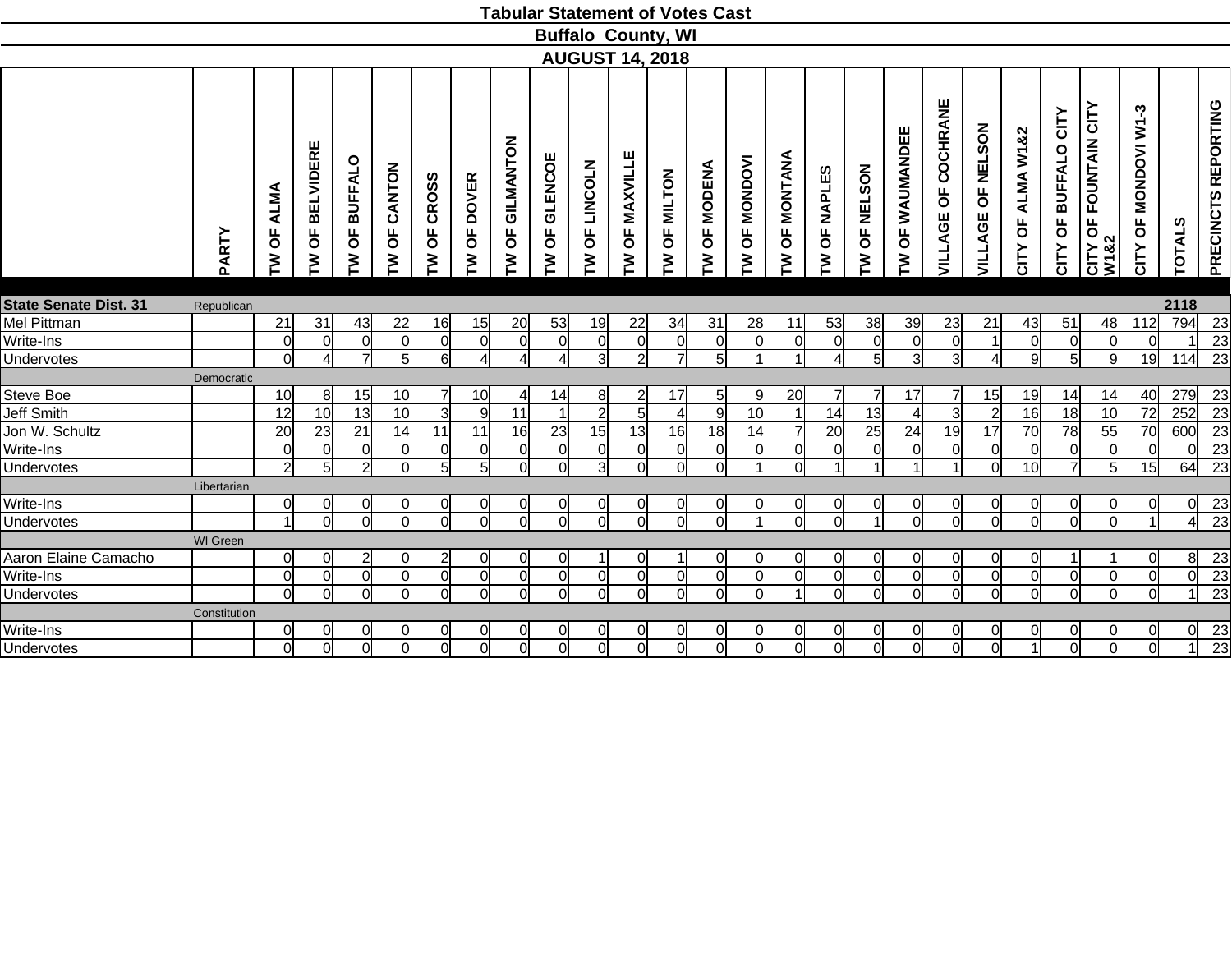|                              |                 |                             |                             |                 |                               |                        |                 |                      |                 |                                | <b>Tabular Statement of Votes Cast</b> |                |                                      |                        |                 |                 |                 |                   |                               |                                            |                      |                         |                                    |                                                     |                |                     |
|------------------------------|-----------------|-----------------------------|-----------------------------|-----------------|-------------------------------|------------------------|-----------------|----------------------|-----------------|--------------------------------|----------------------------------------|----------------|--------------------------------------|------------------------|-----------------|-----------------|-----------------|-------------------|-------------------------------|--------------------------------------------|----------------------|-------------------------|------------------------------------|-----------------------------------------------------|----------------|---------------------|
|                              |                 |                             |                             |                 |                               |                        |                 |                      |                 |                                | <b>Buffalo County, WI</b>              |                |                                      |                        |                 |                 |                 |                   |                               |                                            |                      |                         |                                    |                                                     |                |                     |
|                              |                 |                             |                             |                 |                               |                        |                 |                      |                 |                                | <b>AUGUST 14, 2018</b>                 |                |                                      |                        |                 |                 |                 |                   |                               |                                            |                      |                         |                                    |                                                     |                |                     |
|                              |                 |                             |                             |                 |                               |                        |                 |                      |                 |                                |                                        |                |                                      |                        |                 |                 |                 |                   |                               |                                            |                      |                         |                                    |                                                     |                |                     |
|                              | PARTY           | ALMA<br>$\overline{a}$<br>ξ | <b>BELVIDERE</b><br>pp<br>ξ | OF BUFFALO<br>≧ | CANTON<br>$\overline{0}$<br>N | <b>CROSS</b><br>Ъ<br>≧ | OF DOVER<br>ξ   | GILMANTON<br>pp<br>ξ | OF GLENCOE<br>ξ | LINCOLN<br>$\overline{6}$<br>N | OF MAXVILLE<br>ξ                       | OF MILTON<br>ξ | <b>MODENA</b><br>$\overline{6}$<br>ξ | <b>OF MONDOVI</b><br>ξ | OF MONTANA<br>ξ | OF NAPLES<br>ξ  | OF NELSON<br>ξ  | OF WAUMANDEE<br>≧ | COCHRANE<br><b>VILLAGE OF</b> | <b>NELSON</b><br>$\overline{5}$<br>VILLAGE | OF ALMA W1&2<br>CITY | OF BUFFALO CITY<br>CITY | OF FOUNTAIN CITY<br>CITY C<br>W1&2 | ကု<br>$\sum_{i=1}^{n}$<br><b>OF MONDOVI</b><br>CITY | <b>TOTALS</b>  | PRECINCTS REPORTING |
| <b>State Senate Dist. 31</b> | Republican      |                             |                             |                 |                               |                        |                 |                      |                 |                                |                                        |                |                                      |                        |                 |                 |                 |                   |                               |                                            |                      |                         |                                    |                                                     | 2118           |                     |
| Mel Pittman                  |                 | 21                          | 31                          | 43              | 22                            | 16                     | 15              | 20                   | 53              | 19                             | 22                                     | 34             | 31                                   | 28                     | 11              | 53              | 38              | 39                | 23                            | 21                                         | 43                   | 51                      | 48                                 | 112                                                 | 794            | 23                  |
| Write-Ins                    |                 | 0                           | $\overline{0}$              | $\Omega$        | <sup>0</sup>                  | $\overline{0}$         | $\overline{0}$  | $\overline{0}$       | $\Omega$        | $\overline{0}$                 | $\mathbf 0$                            | $\overline{0}$ | $\overline{0}$                       | $\Omega$               | $\overline{0}$  | $\mathbf 0$     | $\overline{0}$  | $\overline{0}$    | $\Omega$                      | $\overline{1}$                             | $\mathbf 0$          | 0                       | $\overline{0}$                     | $\Omega$                                            |                | 23                  |
| Undervotes                   |                 | $\overline{0}$              | $\overline{4}$              | 기               | 5                             | 6                      | $\overline{4}$  | $\overline{4}$       | $\overline{4}$  | 3                              | $\overline{2}$                         | $\overline{7}$ | $5\overline{)}$                      |                        | $\vert$         | 4               | 5               | $\overline{3}$    | $\overline{3}$                | $\overline{4}$                             | 9                    | 5                       | $\overline{9}$                     | 19                                                  | 114            | $\overline{23}$     |
|                              | Democratic      |                             |                             |                 |                               |                        |                 |                      |                 |                                |                                        |                |                                      |                        |                 |                 |                 |                   |                               |                                            |                      |                         |                                    |                                                     |                |                     |
| Steve Boe                    |                 | 10 <sup>1</sup>             | 8                           | 15              | 10                            |                        | 10 <sup>1</sup> | 4                    | 14              | 8 <sup>1</sup>                 | 2                                      | 17             | $5\overline{)}$                      | 9                      | 20              |                 |                 | 17                |                               | 15                                         | 19                   | 14                      | 14                                 | 40                                                  | 279            | 23                  |
| Jeff Smith                   |                 | 12                          | 10                          | 13              | 10                            | $\overline{3}$         | 9               | 11                   |                 | $\overline{2}$                 | 5                                      | $\Delta$       | $\overline{9}$                       | 10                     | $\vert$ 1       | $\overline{14}$ | $\overline{13}$ | $\overline{4}$    | $\overline{3}$                | $\overline{2}$                             | 16                   | 18                      | 10                                 | $\overline{72}$                                     | 252            | $\overline{23}$     |
| Jon W. Schultz               |                 | 20                          | 23                          | $\overline{21}$ | 14                            | 11                     | 11              | 16                   | 23              | 15                             | 13                                     | 16             | 18                                   | 14                     | $\overline{7}$  | 20              | 25              | 24                | 19                            | 17                                         | 70                   | 78                      | 55                                 | 70                                                  | 600            | 23                  |
| Write-Ins                    |                 | $\overline{0}$              | $\overline{0}$              | $\Omega$        | 0                             | $\Omega$               | $\overline{0}$  | $\overline{0}$       | $\Omega$        | $\overline{0}$                 | $\Omega$                               | $\overline{0}$ | $\overline{0}$                       | $\Omega$               | <sup>o</sup>    | 0               | $\Omega$        | $\overline{0}$    | $\Omega$                      | $\overline{0}$                             | $\Omega$             | $\overline{0}$          | $\overline{0}$                     | $\Omega$                                            | ΩI             | $\overline{23}$     |
| Undervotes                   |                 | $\overline{2}$              | 5                           | $\mathcal{D}$   | $\Omega$                      | 5                      | $\overline{5}$  | $\overline{0}$       | ΩI              | $\overline{3}$                 | $\sqrt{ }$                             | $\overline{0}$ | $\mathbf{0}$                         |                        | Ωl              |                 |                 |                   |                               | $\Omega$                                   | 10                   | $\overline{7}$          | 5 <sup>1</sup>                     | 15                                                  | 64             | $\overline{23}$     |
|                              | Libertarian     |                             |                             |                 |                               |                        |                 |                      |                 |                                |                                        |                |                                      |                        |                 |                 |                 |                   |                               |                                            |                      |                         |                                    |                                                     |                |                     |
| Write-Ins                    |                 | 0l                          | 0l                          |                 | $\Omega$                      | 0                      | $\overline{0}$  | $\overline{0}$       |                 | $\overline{0}$                 | 0                                      | $\Omega$       | <sub>0</sub>                         |                        | $\overline{0}$  | 0               | 0               | $\overline{0}$    |                               | $\overline{0}$                             | 0                    | 0                       | <sub>0</sub>                       |                                                     | 0l             | 23                  |
| Undervotes                   |                 | $\vert$                     | $\overline{0}$              | $\Omega$        | $\overline{0}$                | $\Omega$               | $\overline{0}$  | $\overline{0}$       | $\Omega$        | $\overline{0}$                 | $\Omega$                               | $\overline{0}$ | $\Omega$                             |                        | $\overline{0}$  | $\Omega$        | $\overline{1}$  | $\Omega$          | $\Omega$                      | $\overline{0}$                             | $\Omega$             | $\overline{0}$          | $\overline{0}$                     |                                                     | $\overline{4}$ | $\overline{23}$     |
|                              | <b>WI</b> Green |                             |                             |                 |                               |                        |                 |                      |                 |                                |                                        |                |                                      |                        |                 |                 |                 |                   |                               |                                            |                      |                         |                                    |                                                     |                |                     |
| Aaron Elaine Camacho         |                 | $\Omega$                    | 0                           |                 | 0l                            | $\overline{2}$         | 0               | 0l                   | $\Omega$        |                                | $\Omega$                               |                | <sub>0</sub>                         |                        | <sub>0</sub>    | $\Omega$        | $\overline{0}$  | <sub>0</sub>      | ∩                             | 0l                                         | $\Omega$             |                         |                                    |                                                     | 8              | 23                  |
| Write-Ins                    |                 | $\overline{0}$              | $\overline{0}$              | $\Omega$        | $\overline{0}$                | $\mathbf 0$            | $\overline{0}$  | $\overline{0}$       | $\Omega$        | $\overline{0}$                 | $\mathbf 0$                            | $\overline{0}$ | $\overline{0}$                       | $\Omega$               | $\overline{0}$  | $\mathbf 0$     | $\overline{0}$  | $\overline{0}$    | $\Omega$                      | <sub>0</sub>                               | $\mathbf 0$          | $\overline{0}$          | $\overline{0}$                     | 0l                                                  | <sub>0</sub>   | $\overline{23}$     |
| <b>Undervotes</b>            |                 | $\overline{0}$              | $\overline{0}$              | ΩI              | <sub>0</sub>                  | $\Omega$               | $\overline{0}$  | $\overline{0}$       | ΩI              | $\overline{0}$                 | $\overline{0}$                         | $\overline{0}$ | $\overline{0}$                       | ΩI                     | $\mathbf{1}$    | $\Omega$        | $\overline{0}$  | $\overline{0}$    | $\Omega$                      | 0l                                         | $\Omega$             | $\overline{0}$          | $\overline{0}$                     | ΩI                                                  | 11             | $\overline{23}$     |
|                              | Constitution    |                             |                             |                 |                               |                        |                 |                      |                 |                                |                                        |                |                                      |                        |                 |                 |                 |                   |                               |                                            |                      |                         |                                    |                                                     |                |                     |
| Write-Ins                    |                 | $\Omega$                    | $\overline{0}$              |                 | 0                             | 0                      | <sup>0</sup>    | $\overline{0}$       |                 | 0                              | 0                                      | $\Omega$       | $\overline{0}$                       |                        | $\Omega$        | 0               | 0l              | $\overline{0}$    |                               |                                            |                      | 0l                      | <sub>0</sub>                       |                                                     | $\overline{0}$ | 23                  |
| Undervotes                   |                 | $\overline{0}$              | $\overline{0}$              | 0l              | $\overline{O}$                | $\overline{0}$         | $\overline{0}$  | $\overline{0}$       | 0l              | $\overline{0}$                 | $\overline{0}$                         | $\overline{0}$ | $\overline{0}$                       | 0l                     | <sub>0</sub>    | $\overline{0}$  | $\overline{0}$  | $\overline{0}$    | $\Omega$                      | οl                                         | $\overline{1}$       | $\overline{0}$          | $\overline{0}$                     | $\Omega$                                            | $\mathbf{1}$   | $\overline{23}$     |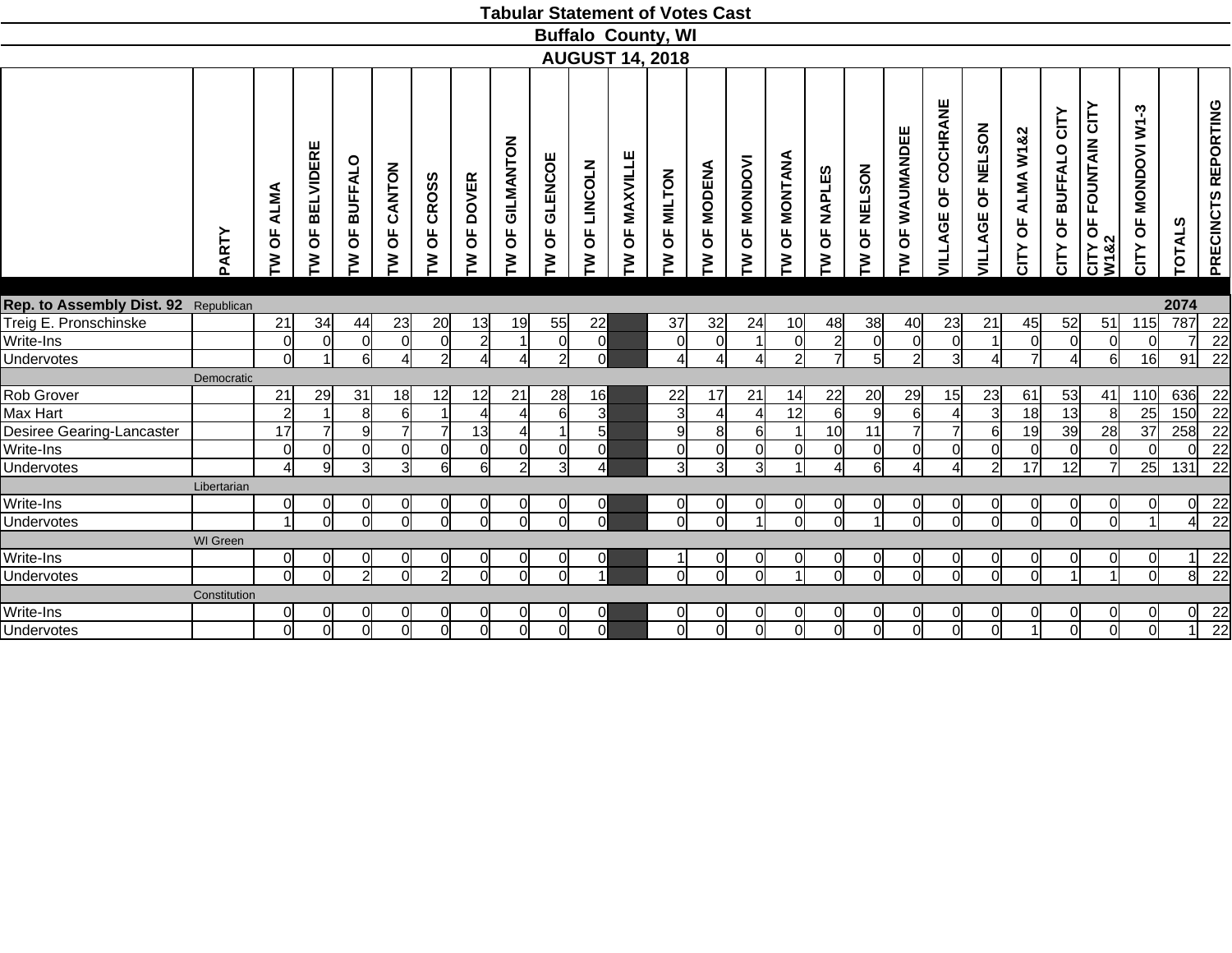|                                      |                 |                                             |                                         |                 |                                        |                                     |                |                                  |                          |                                         |                  | <b>Tabular Statement of Votes Cast</b> |                                      |                        |                 |                       |                |                   |                        |                               |                      |                         |                                             |                                       |                |                     |
|--------------------------------------|-----------------|---------------------------------------------|-----------------------------------------|-----------------|----------------------------------------|-------------------------------------|----------------|----------------------------------|--------------------------|-----------------------------------------|------------------|----------------------------------------|--------------------------------------|------------------------|-----------------|-----------------------|----------------|-------------------|------------------------|-------------------------------|----------------------|-------------------------|---------------------------------------------|---------------------------------------|----------------|---------------------|
|                                      |                 |                                             |                                         |                 |                                        |                                     |                |                                  |                          |                                         |                  | <b>Buffalo County, WI</b>              |                                      |                        |                 |                       |                |                   |                        |                               |                      |                         |                                             |                                       |                |                     |
|                                      |                 |                                             |                                         |                 |                                        |                                     |                |                                  |                          |                                         |                  | <b>AUGUST 14, 2018</b>                 |                                      |                        |                 |                       |                |                   |                        |                               |                      |                         |                                             |                                       |                |                     |
|                                      | PARTY           | <b>ALMA</b><br>$\overline{\mathsf{d}}$<br>Σ | <b>BELVIDERE</b><br>$\overline{5}$<br>ξ | OF BUFFALO<br>ξ | CANTON<br>$\overline{\mathsf{d}}$<br>ξ | <b>CROSS</b><br>$\overline{0}$<br>ξ | OF DOVER<br>ξ  | GILMANTON<br>$\overline{5}$<br>ξ | <b>GLENCOE</b><br>Ъ<br>ξ | LINCOLN<br>$\overline{\mathsf{d}}$<br>ξ | OF MAXVILLE<br>ξ | OF MILTON<br>ξ                         | <b>MODENA</b><br>$\overline{6}$<br>Σ | <b>OF MONDOVI</b><br>Σ | OF MONTANA<br>ξ | <b>OF NAPLES</b><br>ξ | OF NELSON<br>ξ | OF WAUMANDEE<br>ξ | VILLAGE OF COCHRANE    | <b>NELSON</b><br>Ъ<br>VILLAGE | OF ALMA W1&2<br>CITY | OF BUFFALO CITY<br>CITY | <b>FOUNTAIN CITY</b><br>Ъ<br>CITY C<br>W1&2 | $W1-3$<br><b>MONDOVI</b><br>Ъ<br>CITY | <b>TOTALS</b>  | PRECINCTS REPORTING |
|                                      |                 |                                             |                                         |                 |                                        |                                     |                |                                  |                          |                                         |                  |                                        |                                      |                        |                 |                       |                |                   |                        |                               |                      |                         |                                             |                                       |                |                     |
| Rep. to Assembly Dist. 92 Republican |                 |                                             |                                         |                 |                                        |                                     |                |                                  |                          |                                         |                  |                                        |                                      |                        |                 |                       |                |                   |                        |                               |                      |                         |                                             |                                       | 2074           |                     |
| Treig E. Pronschinske                |                 | 21                                          | 34                                      | 44              | 23                                     | 20                                  | 13             | 19                               | 55                       | 22                                      |                  | 37                                     | 32                                   | 24                     | 10              | 48                    | 38             | 40                | 23                     | 21                            | 45                   | 52                      | 51                                          | 115                                   | 787            | 22                  |
| Write-Ins                            |                 | $\overline{0}$                              | $\overline{0}$                          | $\Omega$        | $\Omega$                               | $\overline{0}$                      | $\overline{2}$ | $\overline{1}$                   | $\Omega$                 | $\overline{0}$                          |                  | $\overline{0}$                         | $\overline{0}$                       |                        | $\overline{0}$  | $\overline{2}$        | $\overline{0}$ | $\overline{0}$    | $\Omega$               | $\vert$ 1                     | $\Omega$             | $\overline{0}$          | $\overline{0}$                              | $\Omega$                              |                | 22                  |
| Undervotes                           |                 | $\overline{0}$                              | 1                                       | 6               | $\overline{4}$                         | $\overline{2}$                      | $\overline{4}$ | Δ                                | $\overline{2}$           | $\Omega$                                |                  | $\vert$                                | 4                                    |                        | $\overline{2}$  | $\overline{7}$        | 5              | $\overline{2}$    | $\overline{3}$         | $\overline{4}$                | $\overline{7}$       | $\overline{4}$          | $6 \overline{6}$                            | 16                                    | 91             | $\overline{22}$     |
|                                      | Democratic      |                                             |                                         |                 |                                        |                                     |                |                                  |                          |                                         |                  |                                        |                                      |                        |                 |                       |                |                   |                        |                               |                      |                         |                                             |                                       |                |                     |
| Rob Grover                           |                 | 21                                          | 29                                      | 31              | 18                                     | 12                                  | 12             | 21                               | 28                       | 16                                      |                  | 22                                     | 17                                   | 21                     | 14              | 22                    | 20             | 29                | 15                     | 23                            | 61                   | 53                      | 41                                          | 110                                   | 636            | 22                  |
| Max Hart                             |                 | $\overline{2}$                              |                                         | 8               | 6                                      |                                     |                | $\overline{\mathcal{A}}$         | $6 \mid$                 | $\overline{3}$                          |                  | $\overline{3}$                         | $\overline{4}$                       |                        | 12              | 6                     | $\overline{9}$ | 6                 |                        | $\overline{3}$                | 18                   | 13                      | 8                                           | 25                                    | 150            | $\overline{22}$     |
| Desiree Gearing-Lancaster            |                 | 17                                          | $\overline{7}$                          | 9               | $\overline{7}$                         |                                     | 13             | 4                                |                          | 5 <sup>5</sup>                          |                  | 9                                      | 8                                    | 6l                     | $\overline{1}$  | 10                    | 11             | $\overline{7}$    |                        | $6 \mid$                      | 19                   | 39                      | $\overline{28}$                             | $\overline{37}$                       | 258            | $\overline{22}$     |
| Write-Ins                            |                 | $\overline{0}$                              | 0                                       | $\Omega$        | $\Omega$                               | 0                                   | $\Omega$       | 0                                | ΩI                       | $\overline{0}$                          |                  | $\overline{0}$                         | $\overline{0}$                       | <sup>0</sup>           | $\overline{0}$  | 0                     | $\overline{0}$ | $\overline{0}$    | $\Omega$               | $\overline{0}$                | 0                    | $\overline{0}$          | $\overline{0}$                              | $\Omega$                              | ΩI             | 22                  |
| Undervotes                           |                 | $\overline{4}$                              | 9                                       | 3               | $\overline{3}$                         | 6                                   | 6l             | $\overline{2}$                   | 31                       | $\overline{4}$                          |                  | $\overline{3}$                         | $\overline{3}$                       | 31                     | $\overline{A}$  | $\overline{\Lambda}$  | 6              | 4                 | $\boldsymbol{\Lambda}$ | $\mathcal{P}$                 | $\overline{17}$      | 12                      | $\overline{7}$                              | 25                                    | 131            | $\overline{22}$     |
|                                      | Libertarian     |                                             |                                         |                 |                                        |                                     |                |                                  |                          |                                         |                  |                                        |                                      |                        |                 |                       |                |                   |                        |                               |                      |                         |                                             |                                       |                |                     |
| Write-Ins                            |                 | 0l                                          | $\overline{0}$                          |                 | 0                                      | 0                                   | <sub>0</sub>   | <sub>0</sub>                     |                          | 0                                       |                  | $\Omega$                               | 0                                    |                        | 0l              | 0                     | 0              | 0                 |                        | 0l                            | 0                    | <sup>0</sup>            | 0                                           |                                       | 0              | $\overline{22}$     |
| Undervotes                           |                 | $\overline{ }$                              | $\Omega$                                | $\Omega$        | $\Omega$                               | $\Omega$                            | ΩI             | $\Omega$                         | $\cap$                   | $\Omega$                                |                  | $\Omega$                               | $\Omega$                             |                        | $\Omega$        |                       |                | $\Omega$          |                        | $\Omega$                      |                      | ΩI                      | $\Omega$                                    |                                       | 41             | $\overline{22}$     |
|                                      | <b>WI</b> Green |                                             |                                         |                 |                                        |                                     |                |                                  |                          |                                         |                  |                                        |                                      |                        |                 |                       |                |                   |                        |                               |                      |                         |                                             |                                       |                |                     |
| Write-Ins                            |                 | 0l                                          | 0l                                      |                 | 0                                      | 0                                   | 0              | $\overline{0}$                   | ΩI                       | 0                                       |                  |                                        | <sub>0</sub>                         | 0                      | $\overline{0}$  | 0                     | $\overline{0}$ | $\overline{0}$    | $\Omega$               | 0l                            | 0                    | 0l                      | <sub>0</sub>                                | ΩI                                    | 11             | $\frac{22}{22}$     |
| Undervotes                           |                 | $\overline{0}$                              | $\overline{0}$                          | $\overline{2}$  | $\overline{0}$                         | $\overline{2}$                      | $\overline{0}$ | $\overline{0}$                   | ΩI                       |                                         |                  | $\Omega$                               | $\overline{0}$                       | ΩI                     | $\vert$         | $\Omega$              | $\overline{0}$ | $\overline{0}$    | $\Omega$               | $\overline{0}$                | $\Omega$             | $\vert$                 | $\overline{1}$                              | ΩI                                    | $\overline{8}$ |                     |
|                                      | Constitution    |                                             |                                         |                 |                                        |                                     |                |                                  |                          |                                         |                  |                                        |                                      |                        |                 |                       |                |                   |                        |                               |                      |                         |                                             |                                       |                |                     |
| Write-Ins                            |                 | 0l                                          | $\overline{0}$                          |                 | 0                                      | 0                                   | 0              | 01                               |                          | <sub>0</sub>                            |                  | 0                                      | 0                                    |                        |                 | 0                     | 0              | 0                 |                        |                               |                      | 01                      | 0                                           |                                       | $\overline{0}$ | $\frac{22}{22}$     |
| Undervotes                           |                 | $\overline{0}$                              | $\overline{0}$                          | $\Omega$        | <sub>0</sub>                           | $\Omega$                            | $\overline{0}$ | $\overline{0}$                   | 0l                       | $\Omega$                                |                  | $\overline{0}$                         | $\overline{0}$                       | $\Omega$               | οl              | $\Omega$              | $\overline{0}$ | $\overline{0}$    | <sub>0</sub>           | οl                            |                      | $\overline{0}$          | $\overline{0}$                              | $\Omega$                              |                |                     |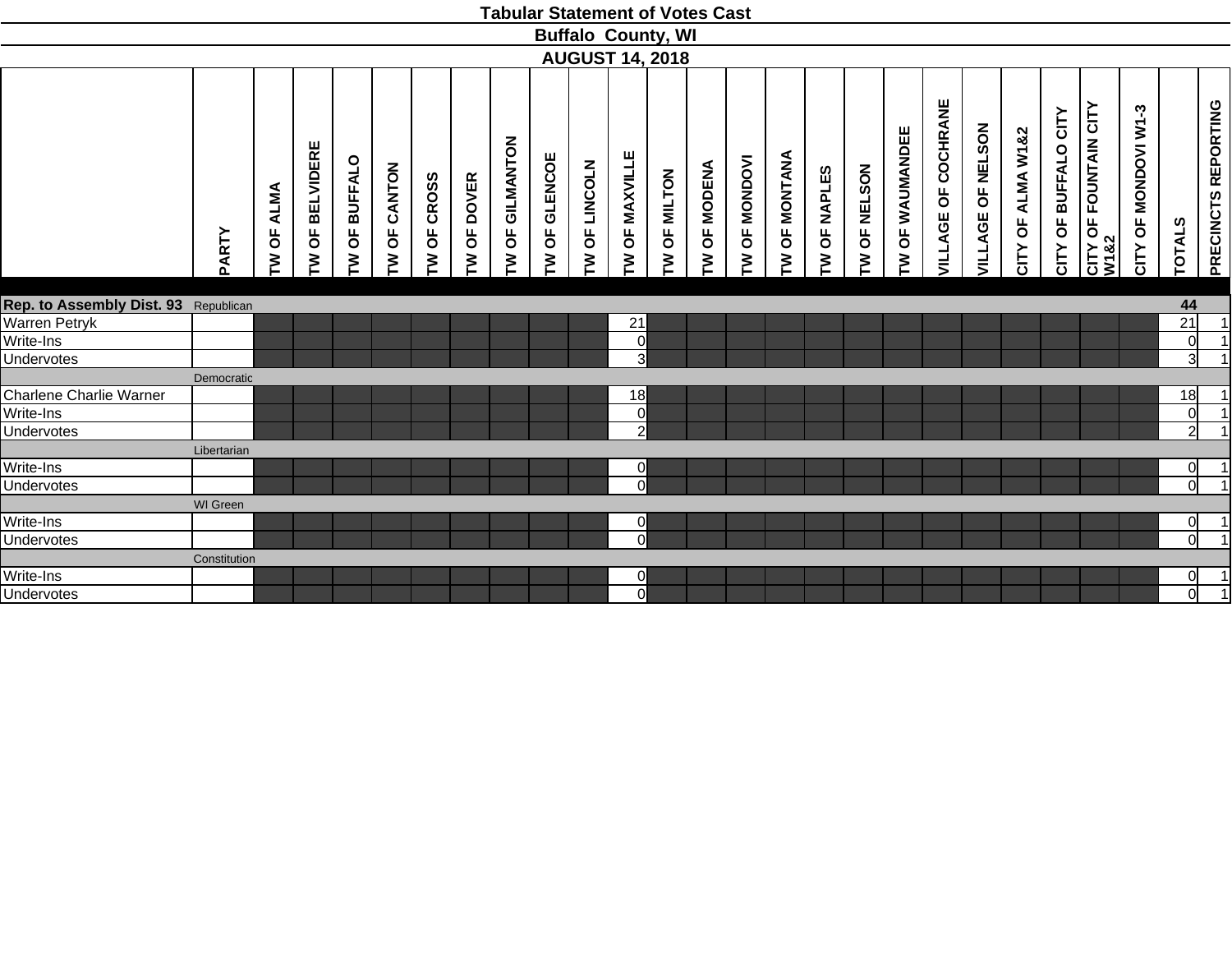| <b>Buffalo County, WI</b><br><b>AUGUST 14, 2018</b><br>VILLAGE OF COCHRANE<br>OF FOUNTAIN CITY<br>ကု<br>CITY OF BUFFALO CITY<br><b>OF MONDOVI W1</b><br>OF NELSON<br>OF WAUMANDEE<br>CITY OF ALMA W1&2<br>GILMANTON<br><b>BELVIDERE</b><br>OF MAXVILLE<br><b>OF MONTANA</b><br>OF GLENCOE<br><b>OF MONDOVI</b><br>OF BUFFALO<br><b>LINCOLN</b><br><b>OF MODENA</b><br>CANTON<br>OF NELSON<br>OF NAPLES<br>OF MILTON<br>OF CROSS<br>OF DOVER<br>ALMA<br>VILLAGE<br>$\overline{\sigma}$<br>$\overline{\mathsf{b}}$<br>$\overline{\mathsf{b}}$<br>$\overline{\mathsf{b}}$<br>$\overline{6}$<br>PARTY<br>CITY C<br>W182<br>CITY<br>M<br>Σ<br>Σ<br>ξ<br>ξ<br>ξ<br>ξ<br>ξ<br>Σ<br>ξ<br>ξ<br>ξ<br>ξ<br>ξ<br>ξ<br>ξ<br>ξ<br>Rep. to Assembly Dist. 93 Republican<br>Warren Petryk<br>21<br>Write-Ins<br>$\overline{0}$<br>Undervotes<br>$\overline{3}$<br>Democratic<br>Charlene Charlie Warner<br>18<br>Write-Ins<br>$\overline{0}$<br><b>Undervotes</b><br>$\overline{2}$<br>Libertarian<br>Write-Ins<br>$\Omega$<br>Undervotes<br>$\Omega$<br><b>WI</b> Green<br>Write-Ins<br>$\overline{0}$<br>Undervotes<br>$\Omega$<br>Constitution<br>Write-Ins<br>0<br>$\Omega$ |                   |  |  |  |  |  | <b>Tabular Statement of Votes Cast</b> |  |  |  |  |  |  |                 |                     |
|-----------------------------------------------------------------------------------------------------------------------------------------------------------------------------------------------------------------------------------------------------------------------------------------------------------------------------------------------------------------------------------------------------------------------------------------------------------------------------------------------------------------------------------------------------------------------------------------------------------------------------------------------------------------------------------------------------------------------------------------------------------------------------------------------------------------------------------------------------------------------------------------------------------------------------------------------------------------------------------------------------------------------------------------------------------------------------------------------------------------------------------------------------------------|-------------------|--|--|--|--|--|----------------------------------------|--|--|--|--|--|--|-----------------|---------------------|
|                                                                                                                                                                                                                                                                                                                                                                                                                                                                                                                                                                                                                                                                                                                                                                                                                                                                                                                                                                                                                                                                                                                                                                 |                   |  |  |  |  |  |                                        |  |  |  |  |  |  |                 |                     |
|                                                                                                                                                                                                                                                                                                                                                                                                                                                                                                                                                                                                                                                                                                                                                                                                                                                                                                                                                                                                                                                                                                                                                                 |                   |  |  |  |  |  |                                        |  |  |  |  |  |  |                 |                     |
|                                                                                                                                                                                                                                                                                                                                                                                                                                                                                                                                                                                                                                                                                                                                                                                                                                                                                                                                                                                                                                                                                                                                                                 |                   |  |  |  |  |  |                                        |  |  |  |  |  |  | <b>TOTALS</b>   | PRECINCTS REPORTING |
|                                                                                                                                                                                                                                                                                                                                                                                                                                                                                                                                                                                                                                                                                                                                                                                                                                                                                                                                                                                                                                                                                                                                                                 |                   |  |  |  |  |  |                                        |  |  |  |  |  |  |                 |                     |
|                                                                                                                                                                                                                                                                                                                                                                                                                                                                                                                                                                                                                                                                                                                                                                                                                                                                                                                                                                                                                                                                                                                                                                 |                   |  |  |  |  |  |                                        |  |  |  |  |  |  | 44              |                     |
|                                                                                                                                                                                                                                                                                                                                                                                                                                                                                                                                                                                                                                                                                                                                                                                                                                                                                                                                                                                                                                                                                                                                                                 |                   |  |  |  |  |  |                                        |  |  |  |  |  |  | $\overline{21}$ | 1                   |
|                                                                                                                                                                                                                                                                                                                                                                                                                                                                                                                                                                                                                                                                                                                                                                                                                                                                                                                                                                                                                                                                                                                                                                 |                   |  |  |  |  |  |                                        |  |  |  |  |  |  | 0               | $\vert$ 1           |
|                                                                                                                                                                                                                                                                                                                                                                                                                                                                                                                                                                                                                                                                                                                                                                                                                                                                                                                                                                                                                                                                                                                                                                 |                   |  |  |  |  |  |                                        |  |  |  |  |  |  | $\overline{3}$  | $\overline{1}$      |
|                                                                                                                                                                                                                                                                                                                                                                                                                                                                                                                                                                                                                                                                                                                                                                                                                                                                                                                                                                                                                                                                                                                                                                 |                   |  |  |  |  |  |                                        |  |  |  |  |  |  |                 |                     |
|                                                                                                                                                                                                                                                                                                                                                                                                                                                                                                                                                                                                                                                                                                                                                                                                                                                                                                                                                                                                                                                                                                                                                                 |                   |  |  |  |  |  |                                        |  |  |  |  |  |  | 18              |                     |
|                                                                                                                                                                                                                                                                                                                                                                                                                                                                                                                                                                                                                                                                                                                                                                                                                                                                                                                                                                                                                                                                                                                                                                 |                   |  |  |  |  |  |                                        |  |  |  |  |  |  | $\overline{0}$  | $\vert$ 1           |
|                                                                                                                                                                                                                                                                                                                                                                                                                                                                                                                                                                                                                                                                                                                                                                                                                                                                                                                                                                                                                                                                                                                                                                 |                   |  |  |  |  |  |                                        |  |  |  |  |  |  | $\overline{2}$  |                     |
|                                                                                                                                                                                                                                                                                                                                                                                                                                                                                                                                                                                                                                                                                                                                                                                                                                                                                                                                                                                                                                                                                                                                                                 |                   |  |  |  |  |  |                                        |  |  |  |  |  |  |                 |                     |
|                                                                                                                                                                                                                                                                                                                                                                                                                                                                                                                                                                                                                                                                                                                                                                                                                                                                                                                                                                                                                                                                                                                                                                 |                   |  |  |  |  |  |                                        |  |  |  |  |  |  | $\overline{O}$  | $\vert$ 1           |
|                                                                                                                                                                                                                                                                                                                                                                                                                                                                                                                                                                                                                                                                                                                                                                                                                                                                                                                                                                                                                                                                                                                                                                 |                   |  |  |  |  |  |                                        |  |  |  |  |  |  | $\overline{0}$  |                     |
|                                                                                                                                                                                                                                                                                                                                                                                                                                                                                                                                                                                                                                                                                                                                                                                                                                                                                                                                                                                                                                                                                                                                                                 |                   |  |  |  |  |  |                                        |  |  |  |  |  |  |                 |                     |
|                                                                                                                                                                                                                                                                                                                                                                                                                                                                                                                                                                                                                                                                                                                                                                                                                                                                                                                                                                                                                                                                                                                                                                 |                   |  |  |  |  |  |                                        |  |  |  |  |  |  | $\overline{0}$  |                     |
|                                                                                                                                                                                                                                                                                                                                                                                                                                                                                                                                                                                                                                                                                                                                                                                                                                                                                                                                                                                                                                                                                                                                                                 |                   |  |  |  |  |  |                                        |  |  |  |  |  |  | $\overline{0}$  | $\overline{1}$      |
|                                                                                                                                                                                                                                                                                                                                                                                                                                                                                                                                                                                                                                                                                                                                                                                                                                                                                                                                                                                                                                                                                                                                                                 |                   |  |  |  |  |  |                                        |  |  |  |  |  |  |                 |                     |
|                                                                                                                                                                                                                                                                                                                                                                                                                                                                                                                                                                                                                                                                                                                                                                                                                                                                                                                                                                                                                                                                                                                                                                 |                   |  |  |  |  |  |                                        |  |  |  |  |  |  | <sub>0</sub>    | $\vert$ 1           |
|                                                                                                                                                                                                                                                                                                                                                                                                                                                                                                                                                                                                                                                                                                                                                                                                                                                                                                                                                                                                                                                                                                                                                                 | <b>Undervotes</b> |  |  |  |  |  |                                        |  |  |  |  |  |  | $\overline{0}$  | $\overline{1}$      |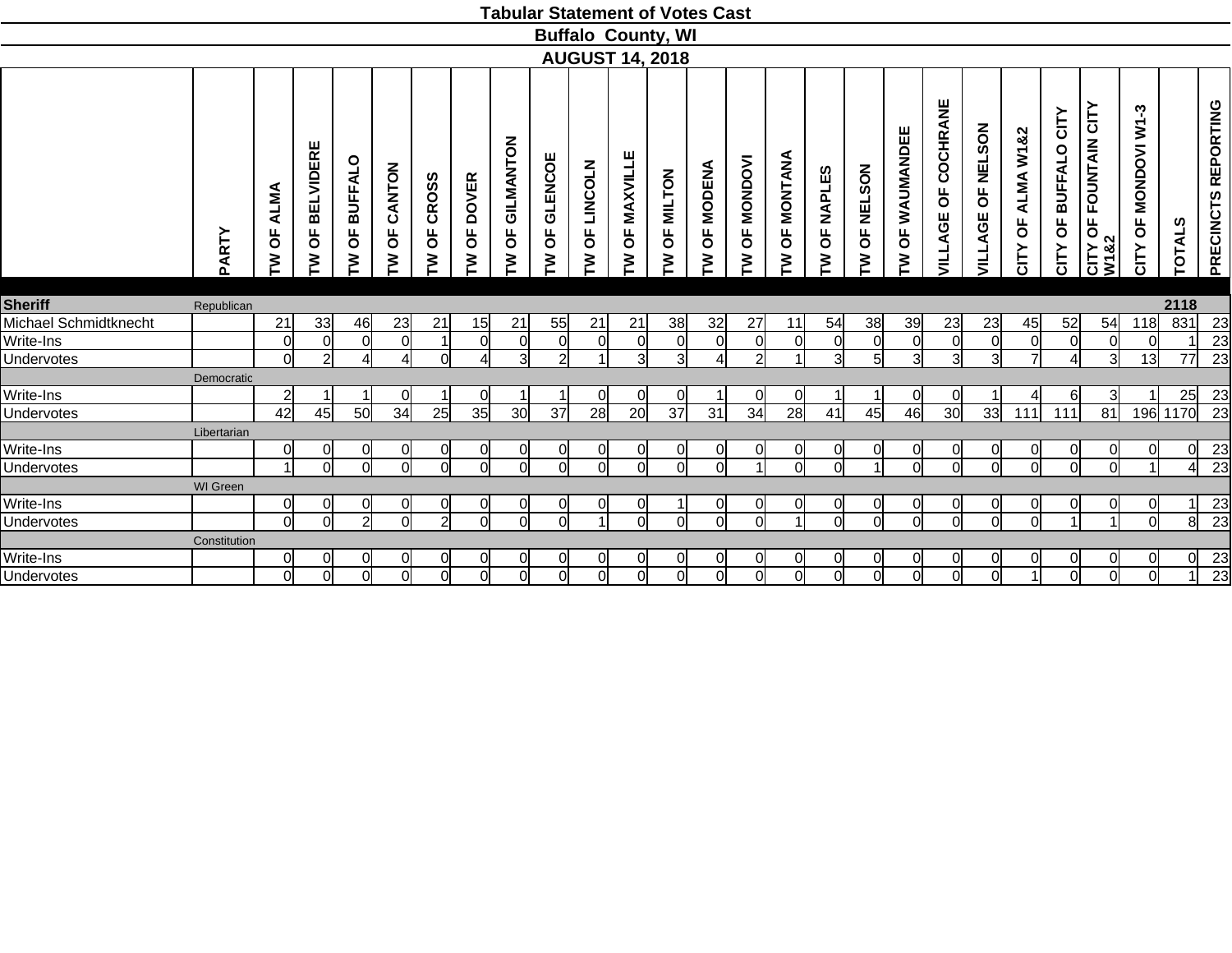|                         |                 |                                    |                             |                          |                   |                                     |                                     |                            |                          |                           | <b>Tabular Statement of Votes Cast</b> |                      |                                      |                        |                                       |                                      |                |                                  |                                       |                                            |                                     |                                     |                                                                    |                                         |                |                       |
|-------------------------|-----------------|------------------------------------|-----------------------------|--------------------------|-------------------|-------------------------------------|-------------------------------------|----------------------------|--------------------------|---------------------------|----------------------------------------|----------------------|--------------------------------------|------------------------|---------------------------------------|--------------------------------------|----------------|----------------------------------|---------------------------------------|--------------------------------------------|-------------------------------------|-------------------------------------|--------------------------------------------------------------------|-----------------------------------------|----------------|-----------------------|
|                         |                 |                                    |                             |                          |                   |                                     |                                     |                            |                          |                           | <b>Buffalo County, WI</b>              |                      |                                      |                        |                                       |                                      |                |                                  |                                       |                                            |                                     |                                     |                                                                    |                                         |                |                       |
|                         |                 |                                    |                             |                          |                   |                                     |                                     |                            |                          |                           | <b>AUGUST 14, 2018</b>                 |                      |                                      |                        |                                       |                                      |                |                                  |                                       |                                            |                                     |                                     |                                                                    |                                         |                |                       |
|                         | PARTY           | <b>ALMA</b><br>$\overline{5}$<br>ξ | <b>BELVIDERE</b><br>pp<br>ξ | <b>BUFFALO</b><br>Ъ<br>₹ | CANTON<br>pP<br>ξ | <b>CROSS</b><br>$\overline{0}$<br>ξ | <b>DOVER</b><br>$\overline{5}$<br>⋛ | GILMANTON<br>pp<br>ξ       | <b>GLENCOE</b><br>Ъ<br>₹ | <b>LINCOLN</b><br>pp<br>ξ | <b>MAXVILLE</b><br>$\overline{6}$<br>ξ | OF MILTON<br>ξ       | <b>MODENA</b><br>$\overline{5}$<br>ξ | <b>OF MONDOVI</b><br>₹ | <b>ANAINON</b><br>$\overline{5}$<br>ξ | <b>NAPLES</b><br>$\overline{6}$<br>ξ | OF NELSON<br>₹ | WAUMANDEE<br>$\overline{5}$<br>ξ | COCHRANE<br>$\overline{6}$<br>VILLAGE | <b>NELSON</b><br>$\overline{6}$<br>VILLAGE | ALMA W1&2<br>$\overline{5}$<br>CITY | CITY<br><b>BUFFALO</b><br>Ъ<br>CITY | <b>FOUNTAIN CITY</b><br>$\overline{5}$<br>&2<br>$rac{1}{\sqrt{2}}$ | ကု<br>ξ<br><b>MONDOVI</b><br>pP<br>CITY | ທ<br>TOTAL!    | PRECINCTS REPORTING   |
| <b>Sheriff</b>          | Republican      |                                    |                             |                          |                   |                                     |                                     |                            |                          |                           |                                        |                      |                                      |                        |                                       |                                      |                |                                  |                                       |                                            |                                     |                                     |                                                                    |                                         | 2118           |                       |
| Michael Schmidtknecht   |                 | 21                                 | 33                          | 46                       | 23                | 21                                  | 15                                  | 21                         | 55                       | 21                        | 21                                     | 38                   | 32                                   | 27                     | 11                                    | 54                                   | 38             | 39                               | 23                                    | 23                                         | 45                                  | 52                                  | 54                                                                 | 118                                     | 831            | 23                    |
| Write-Ins               |                 | $\Omega$                           | $\Omega$                    | ∩                        | $\Omega$          |                                     | $\Omega$                            | 0                          | n                        | $\Omega$                  | $\Omega$                               | $\Omega$             | $\Omega$                             | ∩                      | $\Omega$                              | $\Omega$                             | $\Omega$       | 0                                | ∩                                     | $\Omega$                                   | $\Omega$                            | $\Omega$                            | $\Omega$                                                           |                                         |                | 23                    |
| Undervotes              |                 | 0l                                 | $\overline{2}$              |                          | Δl                | $\Omega$                            | $\lambda$                           | $\overline{3}$             | $\overline{2}$           |                           | 3                                      | $\overline{3}$       | Δ                                    | 21                     |                                       | 3                                    | 5 <sup>1</sup> | $\mathbf{3}$                     | 31                                    | 31                                         |                                     | $\boldsymbol{\Lambda}$              | $\mathbf{3}$                                                       | 13                                      | 77             | 23                    |
|                         | Democratic      |                                    |                             |                          |                   |                                     |                                     |                            |                          |                           |                                        |                      |                                      |                        |                                       |                                      |                |                                  |                                       |                                            |                                     |                                     |                                                                    |                                         |                |                       |
| Write-Ins               |                 | $\overline{2}$                     |                             |                          | <sup>0</sup>      |                                     | <sup>0</sup>                        |                            |                          | <sub>0</sub>              | 0                                      | <sub>0</sub>         |                                      |                        | <sub>0</sub>                          |                                      |                | <sub>0</sub>                     |                                       |                                            |                                     | 6l                                  | 3                                                                  |                                         | 25             | 23                    |
| Undervotes              |                 | 42                                 | 45                          | 50                       | 34                | 25                                  | 35                                  | 30                         | 37                       | 28                        | 20                                     | 37                   | 31                                   | 34                     | 28                                    | 41                                   | 45             | 46                               | 30                                    | 33                                         | 111                                 | 111                                 | 81                                                                 | 196                                     | 1170           | $\overline{23}$       |
|                         | Libertarian     |                                    |                             |                          |                   |                                     |                                     |                            |                          |                           |                                        |                      |                                      |                        |                                       |                                      |                |                                  |                                       |                                            |                                     |                                     |                                                                    |                                         |                |                       |
| Write-Ins               |                 | $\overline{0}$                     | $\overline{0}$              | ∩                        | $\overline{0}$    | 0                                   | $\Omega$                            | $\overline{0}$             | $\Omega$                 | 0                         | 0                                      | $\overline{0}$       | $\overline{0}$                       | ∩                      | $\overline{0}$                        | 0                                    | $\overline{0}$ | $\overline{0}$                   | $\Omega$                              | <sup>o</sup>                               | 0                                   | $\overline{0}$                      | $\overline{0}$                                                     |                                         | $\overline{0}$ | 23                    |
| <b>Undervotes</b>       |                 | $\overline{1}$                     | ΩI                          | $\cap$                   | ΩI                | $\Omega$                            | ΩI                                  | $\Omega$                   | $\cap$                   | ΩI                        | $\Omega$                               | <sub>0</sub>         | $\Omega$                             |                        | ΩI                                    | $\Omega$                             | $\overline{A}$ | $\Omega$                         | Ωl                                    | ΩI                                         | $\Omega$                            | $\overline{0}$                      | $\Omega$                                                           |                                         | $\overline{4}$ | $\overline{23}$       |
|                         | <b>WI</b> Green |                                    |                             |                          |                   |                                     |                                     |                            |                          |                           |                                        |                      |                                      |                        |                                       |                                      |                |                                  |                                       |                                            |                                     |                                     |                                                                    |                                         |                |                       |
| Write-Ins               |                 | $\overline{0}$                     | <sub>0</sub>                |                          | $\Omega$          | 0                                   | <sub>0</sub>                        | $\overline{0}$             |                          | <sub>0</sub>              | 0                                      |                      | $\Omega$                             |                        | <sub>0</sub>                          | $\Omega$                             | $\overline{0}$ | $\overline{0}$                   |                                       | <sup>o</sup>                               | $\Omega$                            | $\overline{0}$                      | $\overline{0}$                                                     |                                         |                | 23                    |
|                         |                 | <sub>0</sub>                       | $\Omega$                    | $\overline{2}$           | <sup>o</sup>      | $\overline{2}$                      | $\Omega$                            | $\Omega$                   | ΩI                       | $\overline{1}$            | $\Omega$                               | $\Omega$             | $\Omega$                             | $\cap$                 | $\overline{1}$                        | $\Omega$                             | $\overline{0}$ | $\Omega$                         | $\cap$                                | ΩI                                         | $\Omega$                            | $\overline{A}$                      | $\overline{1}$                                                     | $\Omega$                                | $\overline{8}$ | $\overline{23}$       |
| Undervotes              |                 |                                    |                             |                          |                   |                                     |                                     |                            |                          |                           |                                        |                      |                                      |                        |                                       |                                      |                |                                  |                                       |                                            |                                     |                                     |                                                                    |                                         |                |                       |
|                         | Constitution    |                                    |                             |                          |                   |                                     |                                     |                            |                          |                           |                                        |                      |                                      |                        |                                       |                                      |                |                                  |                                       |                                            |                                     |                                     |                                                                    |                                         |                |                       |
| Write-Ins<br>Undervotes |                 | 0 <br>$\Omega$                     | $\overline{0}$<br>$\Omega$  | ∩                        | $\Omega$<br>ΩI    | 0<br>∩                              | <sup>0</sup><br>0l                  | $\overline{0}$<br>$\Omega$ | ∩<br>∩                   | 0 <br>ΩI                  | $\Omega$<br>∩                          | $\Omega$<br>$\Omega$ | $\overline{0}$<br>$\Omega$           | ∩                      | $\overline{0}$<br>ΩI                  | 0<br>∩                               | 0l<br>ΩI       | $\overline{0}$<br>$\Omega$       | O                                     | <sup>o</sup><br>$\Omega$                   |                                     | 0l<br>ΩI                            | <sub>0</sub><br>$\Omega$                                           |                                         | $\overline{0}$ | 23<br>$\overline{23}$ |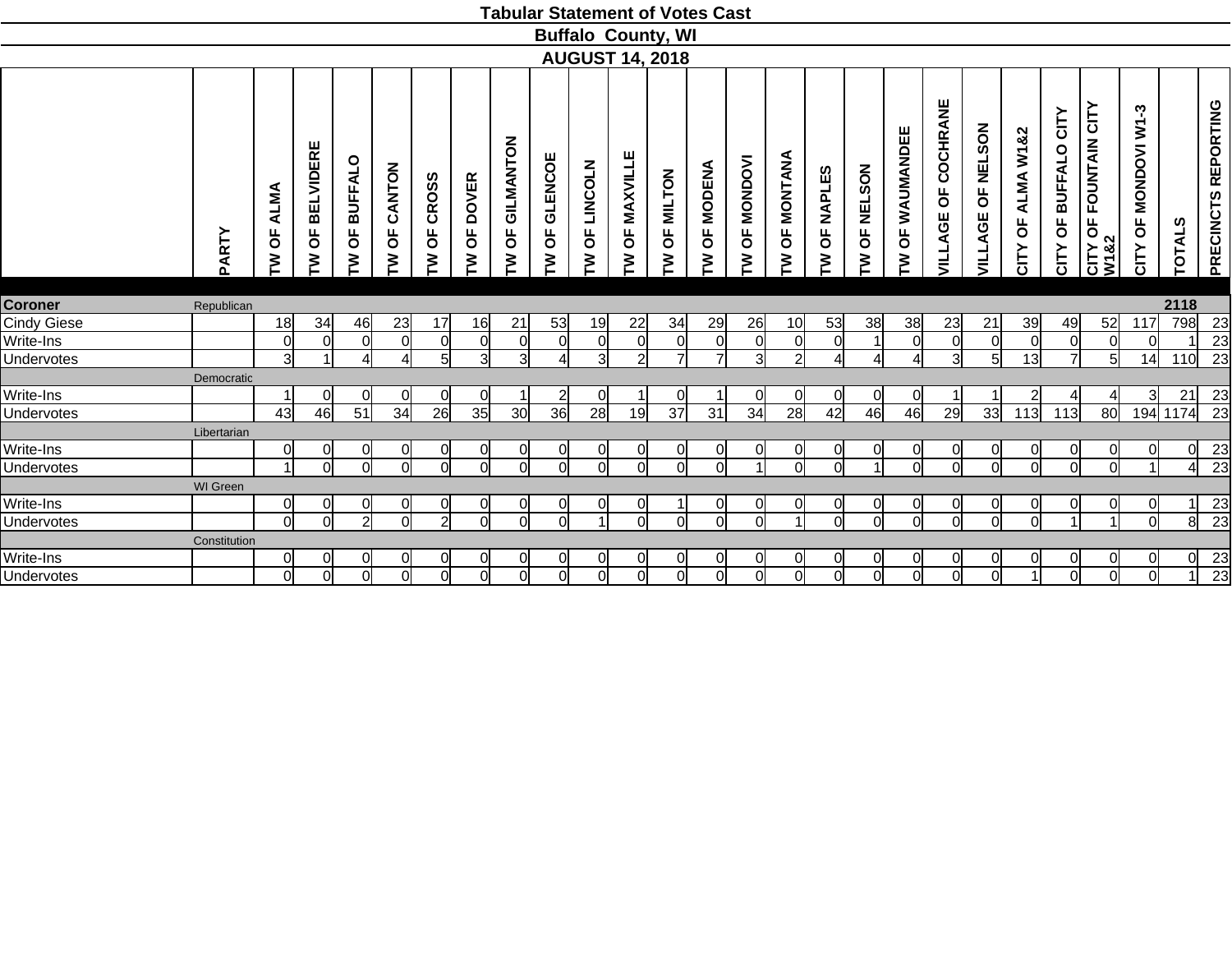|                   |              |                                             |                             |                          |                  |                                     |                |                      |                          |                          | <b>Tabular Statement of Votes Cast</b> |                |                                      |                        |                                       |                |                |                                  |                          |                                            |                                     |                                        |                                                                   |                                                     |                |                     |
|-------------------|--------------|---------------------------------------------|-----------------------------|--------------------------|------------------|-------------------------------------|----------------|----------------------|--------------------------|--------------------------|----------------------------------------|----------------|--------------------------------------|------------------------|---------------------------------------|----------------|----------------|----------------------------------|--------------------------|--------------------------------------------|-------------------------------------|----------------------------------------|-------------------------------------------------------------------|-----------------------------------------------------|----------------|---------------------|
|                   |              |                                             |                             |                          |                  |                                     |                |                      |                          |                          | <b>Buffalo County, WI</b>              |                |                                      |                        |                                       |                |                |                                  |                          |                                            |                                     |                                        |                                                                   |                                                     |                |                     |
|                   |              |                                             |                             |                          |                  |                                     |                |                      |                          |                          | <b>AUGUST 14, 2018</b>                 |                |                                      |                        |                                       |                |                |                                  |                          |                                            |                                     |                                        |                                                                   |                                                     |                |                     |
|                   | PARTY        | <b>ALMA</b><br>$\overline{\mathsf{b}}$<br>Σ | <b>BELVIDERE</b><br>pp<br>ξ | <b>BUFFALO</b><br>Ъ<br>M | CANTON<br>Ъ<br>ξ | <b>CROSS</b><br>$\overline{0}$<br>Σ | OF DOVER<br>ξ  | GILMANTON<br>pp<br>ξ | <b>GLENCOE</b><br>Ъ<br>ξ | <b>LINCOLN</b><br>Ъ<br>ξ | <b>MAXVILLE</b><br>$\overline{0}$<br>Σ | OF MILTON<br>ξ | <b>MODENA</b><br>$\overline{5}$<br>ξ | <b>OF MONDOVI</b><br>M | <b>ANAINON</b><br>$\overline{0}$<br>ξ | OF NAPLES<br>Σ | OF NELSON<br>ξ | WAUMANDEE<br>$\overline{6}$<br>ξ | COCHRANE<br>Ъ<br>VILLAGE | <b>NELSON</b><br>$\overline{6}$<br>VILLAGE | ALMA W1&2<br>$\overline{6}$<br>CITY | BUFFALO CITY<br>$\overline{5}$<br>CITY | <b>FOUNTAIN CITY</b><br>$\overline{\mathsf{b}}$<br>CITY C<br>W182 | ကု<br>ξ<br><b>MONDOVI</b><br>$\overline{6}$<br>CITY | ທ<br>TOTAL:    | PRECINCTS REPORTING |
| <b>Coroner</b>    | Republican   |                                             |                             |                          |                  |                                     |                |                      |                          |                          |                                        |                |                                      |                        |                                       |                |                |                                  |                          |                                            |                                     |                                        |                                                                   |                                                     | 2118           |                     |
| Cindy Giese       |              | 18                                          | 34                          | 46                       | 23               | 17                                  | 16             | 21                   | 53                       | 19                       | 22                                     | 34             | 29                                   | 26                     | 10                                    | 53             | 38             | 38                               | 23                       | 21                                         | 39                                  | 49                                     | 52                                                                | 117                                                 | 798            | 23                  |
| Write-Ins         |              | $\Omega$                                    | $\Omega$                    | $\cap$                   | $\Omega$         | $\Omega$                            | $\overline{0}$ | $\overline{0}$       | $\cap$                   | $\overline{0}$           | $\Omega$                               | $\overline{0}$ | 0                                    | $\Omega$               | $\Omega$                              | $\Omega$       |                | $\Omega$                         | $\Omega$                 | $\Omega$                                   | $\Omega$                            | <sub>0</sub>                           | $\overline{0}$                                                    |                                                     |                | 23                  |
| <b>Undervotes</b> |              | $\overline{3}$                              |                             |                          | $\Delta$         | $5 \square$                         | $\overline{3}$ | $\overline{3}$       | Δ                        | $\overline{3}$           | 2                                      | $\overline{7}$ | $\overline{7}$                       | зІ                     | 2                                     |                | $\overline{A}$ | Δ                                | 3l                       | 5 <sup>1</sup>                             | 13                                  | $\overline{7}$                         | $5 \vert$                                                         | 14                                                  | 110            | $\overline{23}$     |
|                   | Democratic   |                                             |                             |                          |                  |                                     |                |                      |                          |                          |                                        |                |                                      |                        |                                       |                |                |                                  |                          |                                            |                                     |                                        |                                                                   |                                                     |                |                     |
| Write-Ins         |              | $\blacktriangleleft$                        | $\Omega$                    | ∩                        | 0                | $\Omega$                            | <sub>0</sub>   |                      |                          | 0                        |                                        | $\Omega$       |                                      | ∩                      | 0l                                    | $\Omega$       | 0l             | 0                                |                          |                                            | $\overline{2}$                      |                                        | 4                                                                 | 3l                                                  | 21             | 23                  |
| Undervotes        |              | 43                                          | 46                          | $\overline{51}$          | 34               | 26                                  | 35             | 30                   | 36                       | 28                       | 19                                     | 37             | $\overline{31}$                      | 34                     | 28                                    | 42             | 46             | 46                               | 29                       | 33                                         | 113                                 | 113                                    | 80                                                                |                                                     | 194 1174       | $\overline{23}$     |
|                   | Libertarian  |                                             |                             |                          |                  |                                     |                |                      |                          |                          |                                        |                |                                      |                        |                                       |                |                |                                  |                          |                                            |                                     |                                        |                                                                   |                                                     |                |                     |
| Write-Ins         |              | 0                                           | <sub>0</sub>                | ∩                        | $\overline{0}$   | 0                                   | $\Omega$       | <sub>0</sub>         | $\Omega$                 | $\overline{0}$           | 0                                      | $\overline{0}$ | <sub>0</sub>                         | ∩                      | $\overline{0}$                        | 0              | 0l             | $\Omega$                         | $\Omega$                 | $\overline{0}$                             | 0                                   | $\overline{0}$                         | 0l                                                                |                                                     | $\overline{0}$ | 23                  |
| <b>Undervotes</b> |              | $\overline{ }$                              | $\Omega$                    | $\Omega$                 | <sup>0</sup>     | $\Omega$                            | ΩI             | $\Omega$             | ΩI                       | ΩI                       | $\Omega$                               | $\Omega$       | $\Omega$                             |                        | $\Omega$                              | $\Omega$       | $\overline{ }$ | $\Omega$                         | Ωl                       | $\Omega$                                   | $\Omega$                            | ΩI                                     | <sub>0</sub>                                                      |                                                     | $\overline{4}$ | $\overline{23}$     |
|                   | WI Green     |                                             |                             |                          |                  |                                     |                |                      |                          |                          |                                        |                |                                      |                        |                                       |                |                |                                  |                          |                                            |                                     |                                        |                                                                   |                                                     |                |                     |
| Write-Ins         |              | $\overline{0}$                              | $\overline{0}$              |                          | $\Omega$         | $\Omega$                            | $\Omega$       | $\overline{0}$       | ∩                        | $\overline{0}$           | $\Omega$                               |                | $\overline{0}$                       |                        | $\overline{0}$                        | 0              | $\overline{0}$ | $\overline{0}$                   |                          | <sup>o</sup>                               | $\Omega$                            | $\overline{0}$                         | $\overline{0}$                                                    |                                                     |                | 23                  |
| Undervotes        |              | 0l                                          | $\Omega$                    | $\overline{2}$           | $\Omega$         | $\overline{2}$                      | <sup>ol</sup>  | $\Omega$             | ΩI                       |                          | $\Omega$                               | $\Omega$       | $\Omega$                             | Ωl                     |                                       | $\Omega$       | <sub>0</sub>   | $\Omega$                         | Ωl                       | $\Omega$                                   | $\Omega$                            | $\overline{ }$                         | 1                                                                 | ΩI                                                  | $\overline{8}$ | $\overline{23}$     |
|                   | Constitution |                                             |                             |                          |                  |                                     |                |                      |                          |                          |                                        |                |                                      |                        |                                       |                |                |                                  |                          |                                            |                                     |                                        |                                                                   |                                                     |                |                     |
| Write-Ins         |              | $\Omega$                                    | 0l                          |                          | <sub>0</sub>     | 0                                   | $\overline{0}$ | $\overline{0}$       |                          | $\overline{0}$           | 0                                      | $\overline{0}$ | $\overline{0}$                       |                        | $\overline{0}$                        | 0              | $\overline{0}$ | $\overline{0}$                   |                          | 0l                                         |                                     | $\Omega$                               | <sub>0</sub>                                                      |                                                     | 0l             | 23                  |
| Undervotes        |              | $\Omega$                                    | $\Omega$                    | ∩                        | Ω                | $\Omega$                            | Ωl             | $\Omega$             | ∩                        | ΩI                       | $\Omega$                               | $\Omega$       | 0                                    | ∩                      | ΩI                                    | $\Omega$       | $\overline{0}$ | $\Omega$                         | ∩                        | ΩI                                         |                                     | <sub>0</sub>                           | $\Omega$                                                          | ∩                                                   |                | $\overline{23}$     |